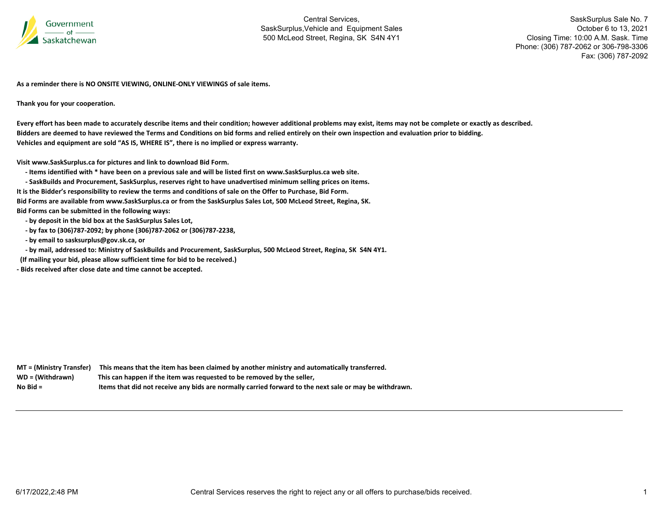

SaskSurplus Sale No. 7 October 6 to 13, 2021 Closing Time: 10:00 A.M. Sask. Time Phone: (306) 787-2062 or 306-798-3306 Fax: (306) 787-2092

**As a reminder there is NO ONSITE VIEWING, ONLINE‐ONLY VIEWINGS of sale items.**

**Thank you for your cooperation.**

Every effort has been made to accurately describe items and their condition; however additional problems may exist, items may not be complete or exactly as described. Bidders are deemed to have reviewed the Terms and Conditions on bid forms and relied entirely on their own inspection and evaluation prior to bidding. **Vehicles and equipment are sold "AS IS, WHERE IS", there is no implied or express warranty.**

**Visit www.SaskSurplus.ca for pictures and link to download Bid Form.**

- Items identified with \* have been on a previous sale and will be listed first on www.SaskSurplus.ca web site.

- SaskBuilds and Procurement, SaskSurplus, reserves right to have unadvertised minimum selling prices on items.

It is the Bidder's responsibility to review the terms and conditions of sale on the Offer to Purchase, Bid Form.

Bid Forms are available from www.SaskSurplus.ca or from the SaskSurplus Sales Lot, 500 McLeod Street, Regina, SK.

**Bid Forms can be submitted in the following ways:**

- **‐ by deposit in the bid box at the SaskSurplus Sales Lot,**
- **‐ by fax to (306)787‐2092; by phone (306)787‐2062 or (306)787‐2238,**
- **‐ by email to sasksurplus@gov.sk.ca, or**
- by mail, addressed to: Ministry of SaskBuilds and Procurement, SaskSurplus, 500 McLeod Street, Regina, SK S4N 4Y1.

**(If mailing your bid, please allow sufficient time for bid to be received.)**

**‐ Bids received after close date and time cannot be accepted.**

**MT <sup>=</sup> (Ministry Transfer) This means that the item has been claimed by another ministry and automatically transferred.** WD = (Withdrawn) **<sup>=</sup> (Withdrawn) This can happen if the item was requested to be removed by the seller, No**Items that did not receive any bids are normally carried forward to the next sale or may be withdrawn.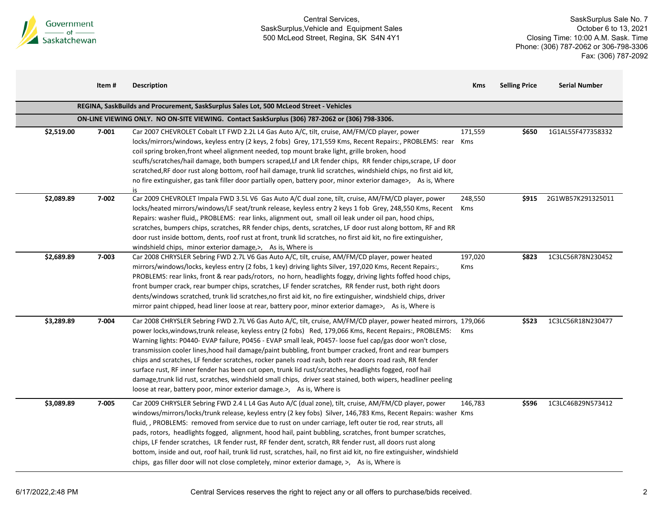

|            | Item# | <b>Description</b>                                                                                                                                                                                                                                                                                                                                                                                                                                                                                                                                                                                                                                                                                                                                                                                                                                                     | <b>Kms</b>     | <b>Selling Price</b> | <b>Serial Number</b> |
|------------|-------|------------------------------------------------------------------------------------------------------------------------------------------------------------------------------------------------------------------------------------------------------------------------------------------------------------------------------------------------------------------------------------------------------------------------------------------------------------------------------------------------------------------------------------------------------------------------------------------------------------------------------------------------------------------------------------------------------------------------------------------------------------------------------------------------------------------------------------------------------------------------|----------------|----------------------|----------------------|
|            |       | REGINA, SaskBuilds and Procurement, SaskSurplus Sales Lot, 500 McLeod Street - Vehicles                                                                                                                                                                                                                                                                                                                                                                                                                                                                                                                                                                                                                                                                                                                                                                                |                |                      |                      |
|            |       | ON-LINE VIEWING ONLY. NO ON-SITE VIEWING. Contact SaskSurplus (306) 787-2062 or (306) 798-3306.                                                                                                                                                                                                                                                                                                                                                                                                                                                                                                                                                                                                                                                                                                                                                                        |                |                      |                      |
| \$2,519.00 | 7-001 | Car 2007 CHEVROLET Cobalt LT FWD 2.2L L4 Gas Auto A/C, tilt, cruise, AM/FM/CD player, power<br>locks/mirrors/windows, keyless entry (2 keys, 2 fobs) Grey, 171,559 Kms, Recent Repairs:, PROBLEMS: rear<br>coil spring broken, front wheel alignment needed, top mount brake light, grille broken, hood<br>scuffs/scratches/hail damage, both bumpers scraped, Lf and LR fender chips, RR fender chips, scrape, LF door<br>scratched, RF door rust along bottom, roof hail damage, trunk lid scratches, windshield chips, no first aid kit,<br>no fire extinguisher, gas tank filler door partially open, battery poor, minor exterior damage>, As is, Where<br>is                                                                                                                                                                                                     | 171,559<br>Kms | \$650                | 1G1AL55F477358332    |
| \$2,089.89 | 7-002 | Car 2009 CHEVROLET Impala FWD 3.5L V6 Gas Auto A/C dual zone, tilt, cruise, AM/FM/CD player, power<br>locks/heated mirrors/windows/LF seat/trunk release, keyless entry 2 keys 1 fob Grey, 248,550 Kms, Recent<br>Repairs: washer fluid,, PROBLEMS: rear links, alignment out, small oil leak under oil pan, hood chips,<br>scratches, bumpers chips, scratches, RR fender chips, dents, scratches, LF door rust along bottom, RF and RR<br>door rust inside bottom, dents, roof rust at front, trunk lid scratches, no first aid kit, no fire extinguisher,<br>windshield chips, minor exterior damage,>, As is, Where is                                                                                                                                                                                                                                             | 248,550<br>Kms | \$915                | 2G1WB57K291325011    |
| \$2,689.89 | 7-003 | Car 2008 CHRYSLER Sebring FWD 2.7L V6 Gas Auto A/C, tilt, cruise, AM/FM/CD player, power heated<br>mirrors/windows/locks, keyless entry (2 fobs, 1 key) driving lights Silver, 197,020 Kms, Recent Repairs:,<br>PROBLEMS: rear links, front & rear pads/rotors, no horn, headlights foggy, driving lights foffed hood chips,<br>front bumper crack, rear bumper chips, scratches, LF fender scratches, RR fender rust, both right doors<br>dents/windows scratched, trunk lid scratches, no first aid kit, no fire extinguisher, windshield chips, driver<br>mirror paint chipped, head liner loose at rear, battery poor, minor exterior damage>, As is, Where is                                                                                                                                                                                                     | 197,020<br>Kms | \$823                | 1C3LC56R78N230452    |
| \$3,289.89 | 7-004 | Car 2008 CHRYSLER Sebring FWD 2.7L V6 Gas Auto A/C, tilt, cruise, AM/FM/CD player, power heated mirrors, 179,066<br>power locks, windows, trunk release, keyless entry (2 fobs) Red, 179,066 Kms, Recent Repairs:, PROBLEMS:<br>Warning lights: P0440- EVAP failure, P0456 - EVAP small leak, P0457- loose fuel cap/gas door won't close,<br>transmission cooler lines, hood hail damage/paint bubbling, front bumper cracked, front and rear bumpers<br>chips and scratches, LF fender scratches, rocker panels road rash, both rear doors road rash, RR fender<br>surface rust, RF inner fender has been cut open, trunk lid rust/scratches, headlights fogged, roof hail<br>damage, trunk lid rust, scratches, windshield small chips, driver seat stained, both wipers, headliner peeling<br>loose at rear, battery poor, minor exterior damage.>, As is, Where is | Kms            | \$523                | 1C3LC56R18N230477    |
| \$3,089.89 | 7-005 | Car 2009 CHRYSLER Sebring FWD 2.4 L L4 Gas Auto A/C (dual zone), tilt, cruise, AM/FM/CD player, power<br>windows/mirrors/locks/trunk release, keyless entry (2 key fobs) Silver, 146,783 Kms, Recent Repairs: washer Kms<br>fluid, , PROBLEMS: removed from service due to rust on under carriage, left outer tie rod, rear struts, all<br>pads, rotors, headlights fogged, alignment, hood hail, paint bubbling, scratches, front bumper scratches,<br>chips, LF fender scratches, LR fender rust, RF fender dent, scratch, RR fender rust, all doors rust along<br>bottom, inside and out, roof hail, trunk lid rust, scratches, hail, no first aid kit, no fire extinguisher, windshield<br>chips, gas filler door will not close completely, minor exterior damage, >, As is, Where is                                                                             | 146,783        | \$596                | 1C3LC46B29N573412    |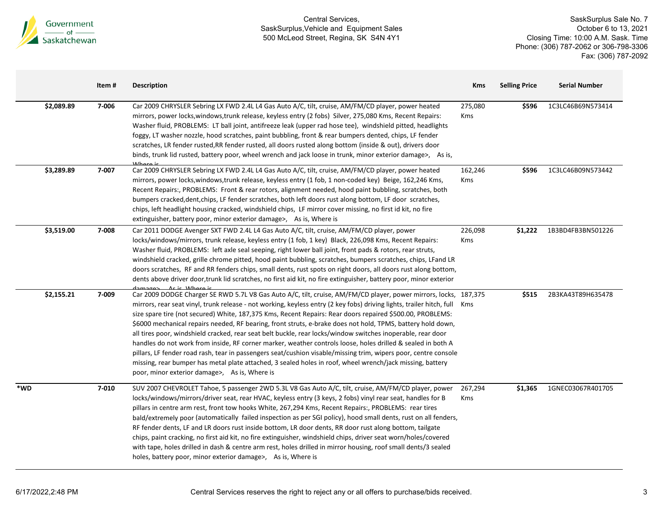

|     |            | Item# | <b>Description</b>                                                                                                                                                                                                                                                                                                                                                                                                                                                                                                                                                                                                                                                                                                                                                                                                                                                                                                                                                                   | <b>Kms</b>            | <b>Selling Price</b> | <b>Serial Number</b> |
|-----|------------|-------|--------------------------------------------------------------------------------------------------------------------------------------------------------------------------------------------------------------------------------------------------------------------------------------------------------------------------------------------------------------------------------------------------------------------------------------------------------------------------------------------------------------------------------------------------------------------------------------------------------------------------------------------------------------------------------------------------------------------------------------------------------------------------------------------------------------------------------------------------------------------------------------------------------------------------------------------------------------------------------------|-----------------------|----------------------|----------------------|
|     | \$2,089.89 | 7-006 | Car 2009 CHRYSLER Sebring LX FWD 2.4L L4 Gas Auto A/C, tilt, cruise, AM/FM/CD player, power heated<br>mirrors, power locks, windows, trunk release, keyless entry (2 fobs) Silver, 275,080 Kms, Recent Repairs:<br>Washer fluid, PROBLEMS: LT ball joint, antifreeze leak (upper rad hose tee), windshield pitted, headlights<br>foggy, LT washer nozzle, hood scratches, paint bubbling, front & rear bumpers dented, chips, LF fender<br>scratches, LR fender rusted, RR fender rusted, all doors rusted along bottom (inside & out), drivers door<br>binds, trunk lid rusted, battery poor, wheel wrench and jack loose in trunk, minor exterior damage>, As is,                                                                                                                                                                                                                                                                                                                  | 275,080<br><b>Kms</b> | \$596                | 1C3LC46B69N573414    |
|     | \$3,289.89 | 7-007 | Car 2009 CHRYSLER Sebring LX FWD 2.4L L4 Gas Auto A/C, tilt, cruise, AM/FM/CD player, power heated<br>mirrors, power locks, windows, trunk release, keyless entry (1 fob, 1 non-coded key) Beige, 162,246 Kms,<br>Recent Repairs:, PROBLEMS: Front & rear rotors, alignment needed, hood paint bubbling, scratches, both<br>bumpers cracked, dent, chips, LF fender scratches, both left doors rust along bottom, LF door scratches,<br>chips, left headlight housing cracked, windshield chips, LF mirror cover missing, no first id kit, no fire<br>extinguisher, battery poor, minor exterior damage>, As is, Where is                                                                                                                                                                                                                                                                                                                                                            | 162,246<br><b>Kms</b> | \$596                | 1C3LC46B09N573442    |
|     | \$3,519.00 | 7-008 | Car 2011 DODGE Avenger SXT FWD 2.4L L4 Gas Auto A/C, tilt, cruise, AM/FM/CD player, power<br>locks/windows/mirrors, trunk release, keyless entry (1 fob, 1 key) Black, 226,098 Kms, Recent Repairs:<br>Washer fluid, PROBLEMS: left axle seal seeping, right lower ball joint, front pads & rotors, rear struts,<br>windshield cracked, grille chrome pitted, hood paint bubbling, scratches, bumpers scratches, chips, LFand LR<br>doors scratches, RF and RR fenders chips, small dents, rust spots on right doors, all doors rust along bottom,<br>dents above driver door, trunk lid scratches, no first aid kit, no fire extinguisher, battery poor, minor exterior<br>Acic Whore is                                                                                                                                                                                                                                                                                            | 226,098<br><b>Kms</b> | \$1,222              | 1B3BD4FB3BN501226    |
|     | \$2,155.21 | 7-009 | Car 2009 DODGE Charger SE RWD 5.7L V8 Gas Auto A/C, tilt, cruise, AM/FM/CD player, power mirrors, locks, 187,375<br>mirrors, rear seat vinyl, trunk release - not working, keyless entry (2 key fobs) driving lights, trailer hitch, full<br>size spare tire (not secured) White, 187,375 Kms, Recent Repairs: Rear doors repaired \$500.00, PROBLEMS:<br>\$6000 mechanical repairs needed, RF bearing, front struts, e-brake does not hold, TPMS, battery hold down,<br>all tires poor, windshield cracked, rear seat belt buckle, rear locks/window switches inoperable, rear door<br>handles do not work from inside, RF corner marker, weather controls loose, holes drilled & sealed in both A<br>pillars, LF fender road rash, tear in passengers seat/cushion visable/missing trim, wipers poor, centre console<br>missing, rear bumper has metal plate attached, 3 sealed holes in roof, wheel wrench/jack missing, battery<br>poor, minor exterior damage>, As is, Where is | Kms                   | \$515                | 2B3KA43T89H635478    |
| *WD |            | 7-010 | SUV 2007 CHEVROLET Tahoe, 5 passenger 2WD 5.3L V8 Gas Auto A/C, tilt, cruise, AM/FM/CD player, power<br>locks/windows/mirrors/driver seat, rear HVAC, keyless entry (3 keys, 2 fobs) vinyl rear seat, handles for B<br>pillars in centre arm rest, front tow hooks White, 267,294 Kms, Recent Repairs:, PROBLEMS: rear tires<br>bald/extremely poor (automatically failed inspection as per SGI policy), hood small dents, rust on all fenders,<br>RF fender dents, LF and LR doors rust inside bottom, LR door dents, RR door rust along bottom, tailgate<br>chips, paint cracking, no first aid kit, no fire extinguisher, windshield chips, driver seat worn/holes/covered<br>with tape, holes drilled in dash & centre arm rest, holes drilled in mirror housing, roof small dents/3 sealed<br>holes, battery poor, minor exterior damage>, As is, Where is                                                                                                                      | 267,294<br>Kms        | \$1,365              | 1GNEC03067R401705    |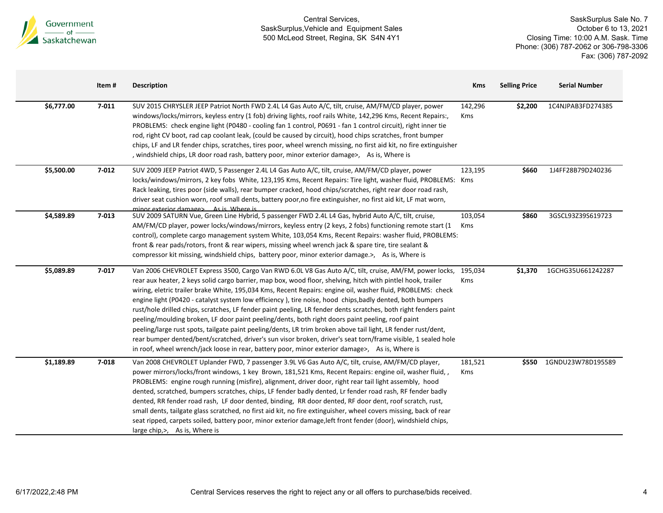

|            | Item#     | <b>Description</b>                                                                                                                                                                                                                                                                                                                                                                                                                                                                                                                                                                                                                                                                                                                                                                                                                                                                                                                                                                                              | <b>Kms</b>     | <b>Selling Price</b> | <b>Serial Number</b> |
|------------|-----------|-----------------------------------------------------------------------------------------------------------------------------------------------------------------------------------------------------------------------------------------------------------------------------------------------------------------------------------------------------------------------------------------------------------------------------------------------------------------------------------------------------------------------------------------------------------------------------------------------------------------------------------------------------------------------------------------------------------------------------------------------------------------------------------------------------------------------------------------------------------------------------------------------------------------------------------------------------------------------------------------------------------------|----------------|----------------------|----------------------|
| \$6,777.00 | $7 - 011$ | SUV 2015 CHRYSLER JEEP Patriot North FWD 2.4L L4 Gas Auto A/C, tilt, cruise, AM/FM/CD player, power<br>windows/locks/mirrors, keyless entry (1 fob) driving lights, roof rails White, 142,296 Kms, Recent Repairs:,<br>PROBLEMS: check engine light (P0480 - cooling fan 1 control, P0691 - fan 1 control circuit), right inner tie<br>rod, right CV boot, rad cap coolant leak, (could be caused by circuit), hood chips scratches, front bumper<br>chips, LF and LR fender chips, scratches, tires poor, wheel wrench missing, no first aid kit, no fire extinguisher<br>, windshield chips, LR door road rash, battery poor, minor exterior damage>, As is, Where is                                                                                                                                                                                                                                                                                                                                         | 142,296<br>Kms | \$2,200              | 1C4NJPAB3FD274385    |
| \$5,500.00 | 7-012     | SUV 2009 JEEP Patriot 4WD, 5 Passenger 2.4L L4 Gas Auto A/C, tilt, cruise, AM/FM/CD player, power<br>locks/windows/mirrors, 2 key fobs White, 123,195 Kms, Recent Repairs: Tire light, washer fluid, PROBLEMS: Kms<br>Rack leaking, tires poor (side walls), rear bumper cracked, hood chips/scratches, right rear door road rash,<br>driver seat cushion worn, roof small dents, battery poor, no fire extinguisher, no first aid kit, LF mat worn,<br>minor exterior damages As is Where is                                                                                                                                                                                                                                                                                                                                                                                                                                                                                                                   | 123,195        | \$660                | 1J4FF28B79D240236    |
| \$4,589.89 | $7 - 013$ | SUV 2009 SATURN Vue, Green Line Hybrid, 5 passenger FWD 2.4L L4 Gas, hybrid Auto A/C, tilt, cruise,<br>AM/FM/CD player, power locks/windows/mirrors, keyless entry (2 keys, 2 fobs) functioning remote start (1<br>control), complete cargo management system White, 103,054 Kms, Recent Repairs: washer fluid, PROBLEMS:<br>front & rear pads/rotors, front & rear wipers, missing wheel wrench jack & spare tire, tire sealant &<br>compressor kit missing, windshield chips, battery poor, minor exterior damage.>, As is, Where is                                                                                                                                                                                                                                                                                                                                                                                                                                                                          | 103,054<br>Kms | \$860                | 3GSCL93Z39S619723    |
| \$5,089.89 | $7 - 017$ | Van 2006 CHEVROLET Express 3500, Cargo Van RWD 6.0L V8 Gas Auto A/C, tilt, cruise, AM/FM, power locks,<br>rear aux heater, 2 keys solid cargo barrier, map box, wood floor, shelving, hitch with pintlel hook, trailer<br>wiring, eletric trailer brake White, 195,034 Kms, Recent Repairs: engine oil, washer fluid, PROBLEMS: check<br>engine light (P0420 - catalyst system low efficiency), tire noise, hood chips, badly dented, both bumpers<br>rust/hole drilled chips, scratches, LF fender paint peeling, LR fender dents scratches, both right fenders paint<br>peeling/moulding broken, LF door paint peeling/dents, both right doors paint peeling, roof paint<br>peeling/large rust spots, tailgate paint peeling/dents, LR trim broken above tail light, LR fender rust/dent,<br>rear bumper dented/bent/scratched, driver's sun visor broken, driver's seat torn/frame visible, 1 sealed hole<br>in roof, wheel wrench/jack loose in rear, battery poor, minor exterior damage>, As is, Where is | 195,034<br>Kms | \$1,370              | 1GCHG35U661242287    |
| \$1,189.89 | $7 - 018$ | Van 2008 CHEVROLET Uplander FWD, 7 passenger 3.9L V6 Gas Auto A/C, tilt, cruise, AM/FM/CD player,<br>power mirrors/locks/front windows, 1 key Brown, 181,521 Kms, Recent Repairs: engine oil, washer fluid, ,<br>PROBLEMS: engine rough running (misfire), alignment, driver door, right rear tail light assembly, hood<br>dented, scratched, bumpers scratches, chips, LF fender badly dented, Lr fender road rash, RF fender badly<br>dented, RR fender road rash, LF door dented, binding, RR door dented, RF door dent, roof scratch, rust,<br>small dents, tailgate glass scratched, no first aid kit, no fire extinguisher, wheel covers missing, back of rear<br>seat ripped, carpets soiled, battery poor, minor exterior damage, left front fender (door), windshield chips,<br>large chip,>, As is, Where is                                                                                                                                                                                          | 181,521<br>Kms | \$550                | 1GNDU23W78D195589    |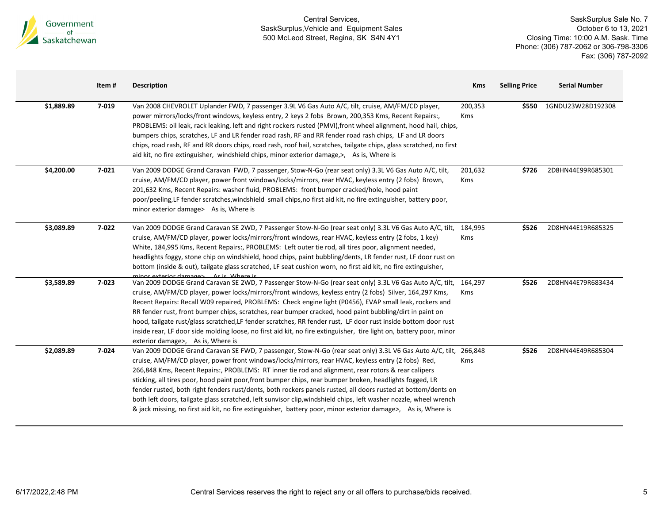

|            | Item# | <b>Description</b>                                                                                                                                                                                                                                                                                                                                                                                                                                                                                                                                                                                                                                                                                                                                                                               | <b>Kms</b>            | <b>Selling Price</b> | <b>Serial Number</b> |
|------------|-------|--------------------------------------------------------------------------------------------------------------------------------------------------------------------------------------------------------------------------------------------------------------------------------------------------------------------------------------------------------------------------------------------------------------------------------------------------------------------------------------------------------------------------------------------------------------------------------------------------------------------------------------------------------------------------------------------------------------------------------------------------------------------------------------------------|-----------------------|----------------------|----------------------|
| \$1,889.89 | 7-019 | Van 2008 CHEVROLET Uplander FWD, 7 passenger 3.9L V6 Gas Auto A/C, tilt, cruise, AM/FM/CD player,<br>power mirrors/locks/front windows, keyless entry, 2 keys 2 fobs Brown, 200,353 Kms, Recent Repairs:,<br>PROBLEMS: oil leak, rack leaking, left and right rockers rusted (PMVI), front wheel alignment, hood hail, chips,<br>bumpers chips, scratches, LF and LR fender road rash, RF and RR fender road rash chips, LF and LR doors<br>chips, road rash, RF and RR doors chips, road rash, roof hail, scratches, tailgate chips, glass scratched, no first<br>aid kit, no fire extinguisher, windshield chips, minor exterior damage, >, As is, Where is                                                                                                                                    | 200,353<br>Kms        | \$550                | 1GNDU23W28D192308    |
| \$4,200.00 | 7-021 | Van 2009 DODGE Grand Caravan FWD, 7 passenger, Stow-N-Go (rear seat only) 3.3L V6 Gas Auto A/C, tilt,<br>cruise, AM/FM/CD player, power front windows/locks/mirrors, rear HVAC, keyless entry (2 fobs) Brown,<br>201,632 Kms, Recent Repairs: washer fluid, PROBLEMS: front bumper cracked/hole, hood paint<br>poor/peeling, LF fender scratches, windshield small chips, no first aid kit, no fire extinguisher, battery poor,<br>minor exterior damage> As is, Where is                                                                                                                                                                                                                                                                                                                        | 201,632<br><b>Kms</b> | \$726                | 2D8HN44E99R685301    |
| \$3,089.89 | 7-022 | Van 2009 DODGE Grand Caravan SE 2WD, 7 Passenger Stow-N-Go (rear seat only) 3.3L V6 Gas Auto A/C, tilt,<br>cruise, AM/FM/CD player, power locks/mirrors/front windows, rear HVAC, keyless entry (2 fobs, 1 key)<br>White, 184,995 Kms, Recent Repairs:, PROBLEMS: Left outer tie rod, all tires poor, alignment needed,<br>headlights foggy, stone chip on windshield, hood chips, paint bubbling/dents, LR fender rust, LF door rust on<br>bottom (inside & out), tailgate glass scratched, LF seat cushion worn, no first aid kit, no fire extinguisher,<br>minor exterior damages - As is Where is                                                                                                                                                                                            | 184,995<br>Kms        | \$526                | 2D8HN44E19R685325    |
| \$3,589.89 | 7-023 | Van 2009 DODGE Grand Caravan SE 2WD, 7 Passenger Stow-N-Go (rear seat only) 3.3L V6 Gas Auto A/C, tilt,<br>cruise, AM/FM/CD player, power locks/mirrors/front windows, keyless entry (2 fobs) Silver, 164,297 Kms,<br>Recent Repairs: Recall W09 repaired, PROBLEMS: Check engine light (P0456), EVAP small leak, rockers and<br>RR fender rust, front bumper chips, scratches, rear bumper cracked, hood paint bubbling/dirt in paint on<br>hood, tailgate rust/glass scratched, LF fender scratches, RR fender rust, LF door rust inside bottom door rust<br>inside rear, LF door side molding loose, no first aid kit, no fire extinguisher, tire light on, battery poor, minor<br>exterior damage>, As is, Where is                                                                          | 164,297<br>Kms        | \$526                | 2D8HN44E79R683434    |
| \$2,089.89 | 7-024 | Van 2009 DODGE Grand Caravan SE FWD, 7 passenger, Stow-N-Go (rear seat only) 3.3L V6 Gas Auto A/C, tilt, 266,848<br>cruise, AM/FM/CD player, power front windows/locks/mirrors, rear HVAC, keyless entry (2 fobs) Red,<br>266,848 Kms, Recent Repairs:, PROBLEMS: RT inner tie rod and alignment, rear rotors & rear calipers<br>sticking, all tires poor, hood paint poor, front bumper chips, rear bumper broken, headlights fogged, LR<br>fender rusted, both right fenders rust/dents, both rockers panels rusted, all doors rusted at bottom/dents on<br>both left doors, tailgate glass scratched, left sunvisor clip, windshield chips, left washer nozzle, wheel wrench<br>& jack missing, no first aid kit, no fire extinguisher, battery poor, minor exterior damage>, As is, Where is | <b>Kms</b>            | \$526                | 2D8HN44E49R685304    |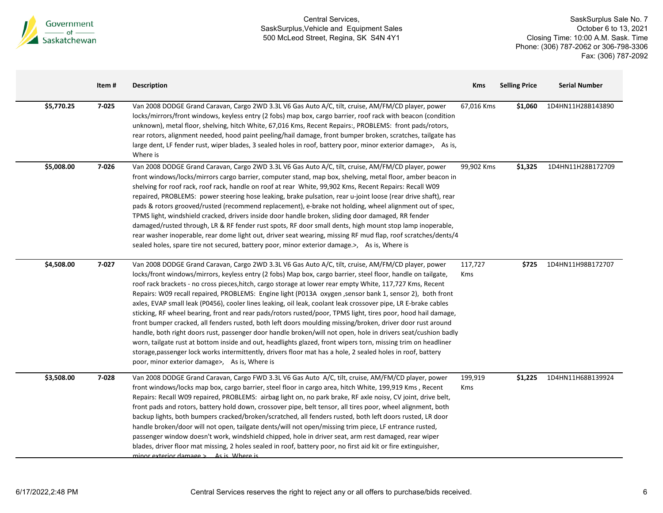

|            | Item# | <b>Description</b>                                                                                                                                                                                                                                                                                                                                                                                                                                                                                                                                                                                                                                                                                                                                                                                                                                                                                                                                                                                                                                                                                                                                                                             | <b>Kms</b>     | <b>Selling Price</b> | <b>Serial Number</b> |
|------------|-------|------------------------------------------------------------------------------------------------------------------------------------------------------------------------------------------------------------------------------------------------------------------------------------------------------------------------------------------------------------------------------------------------------------------------------------------------------------------------------------------------------------------------------------------------------------------------------------------------------------------------------------------------------------------------------------------------------------------------------------------------------------------------------------------------------------------------------------------------------------------------------------------------------------------------------------------------------------------------------------------------------------------------------------------------------------------------------------------------------------------------------------------------------------------------------------------------|----------------|----------------------|----------------------|
| \$5,770.25 | 7-025 | Van 2008 DODGE Grand Caravan, Cargo 2WD 3.3L V6 Gas Auto A/C, tilt, cruise, AM/FM/CD player, power<br>locks/mirrors/front windows, keyless entry (2 fobs) map box, cargo barrier, roof rack with beacon (condition<br>unknown), metal floor, shelving, hitch White, 67,016 Kms, Recent Repairs:, PROBLEMS: front pads/rotors,<br>rear rotors, alignment needed, hood paint peeling/hail damage, front bumper broken, scratches, tailgate has<br>large dent, LF fender rust, wiper blades, 3 sealed holes in roof, battery poor, minor exterior damage>, As is,<br>Where is                                                                                                                                                                                                                                                                                                                                                                                                                                                                                                                                                                                                                     | 67,016 Kms     | \$1,060              | 1D4HN11H28B143890    |
| \$5,008.00 | 7-026 | Van 2008 DODGE Grand Caravan, Cargo 2WD 3.3L V6 Gas Auto A/C, tilt, cruise, AM/FM/CD player, power<br>front windows/locks/mirrors cargo barrier, computer stand, map box, shelving, metal floor, amber beacon in<br>shelving for roof rack, roof rack, handle on roof at rear White, 99,902 Kms, Recent Repairs: Recall W09<br>repaired, PROBLEMS: power steering hose leaking, brake pulsation, rear u-joint loose (rear drive shaft), rear<br>pads & rotors grooved/rusted (recommend replacement), e-brake not holding, wheel alignment out of spec,<br>TPMS light, windshield cracked, drivers inside door handle broken, sliding door damaged, RR fender<br>damaged/rusted through, LR & RF fender rust spots, RF door small dents, high mount stop lamp inoperable,<br>rear washer inoperable, rear dome light out, driver seat wearing, missing RF mud flap, roof scratches/dents/4<br>sealed holes, spare tire not secured, battery poor, minor exterior damage.>, As is, Where is                                                                                                                                                                                                     | 99,902 Kms     | \$1,325              | 1D4HN11H28B172709    |
| \$4,508.00 | 7-027 | Van 2008 DODGE Grand Caravan, Cargo 2WD 3.3L V6 Gas Auto A/C, tilt, cruise, AM/FM/CD player, power<br>locks/front windows/mirrors, keyless entry (2 fobs) Map box, cargo barrier, steel floor, handle on tailgate,<br>roof rack brackets - no cross pieces, hitch, cargo storage at lower rear empty White, 117,727 Kms, Recent<br>Repairs: W09 recall repaired, PROBLEMS: Engine light (P013A oxygen ,sensor bank 1, sensor 2), both front<br>axles, EVAP small leak (P0456), cooler lines leaking, oil leak, coolant leak crossover pipe, LR E-brake cables<br>sticking, RF wheel bearing, front and rear pads/rotors rusted/poor, TPMS light, tires poor, hood hail damage,<br>front bumper cracked, all fenders rusted, both left doors moulding missing/broken, driver door rust around<br>handle, both right doors rust, passenger door handle broken/will not open, hole in drivers seat/cushion badly<br>worn, tailgate rust at bottom inside and out, headlights glazed, front wipers torn, missing trim on headliner<br>storage, passenger lock works intermittently, drivers floor mat has a hole, 2 sealed holes in roof, battery<br>poor, minor exterior damage>, As is, Where is | 117,727<br>Kms | \$725                | 1D4HN11H98B172707    |
| \$3,508.00 | 7-028 | Van 2008 DODGE Grand Caravan, Cargo FWD 3.3L V6 Gas Auto A/C, tilt, cruise, AM/FM/CD player, power<br>front windows/locks map box, cargo barrier, steel floor in cargo area, hitch White, 199,919 Kms, Recent<br>Repairs: Recall W09 repaired, PROBLEMS: airbag light on, no park brake, RF axle noisy, CV joint, drive belt,<br>front pads and rotors, battery hold down, crossover pipe, belt tensor, all tires poor, wheel alignment, both<br>backup lights, both bumpers cracked/broken/scratched, all fenders rusted, both left doors rusted, LR door<br>handle broken/door will not open, tailgate dents/will not open/missing trim piece, LF entrance rusted,<br>passenger window doesn't work, windshield chipped, hole in driver seat, arm rest damaged, rear wiper<br>blades, driver floor mat missing, 2 holes sealed in roof, battery poor, no first aid kit or fire extinguisher,<br>minor exterior damage > As is Where is                                                                                                                                                                                                                                                       | 199,919<br>Kms | \$1,225              | 1D4HN11H68B139924    |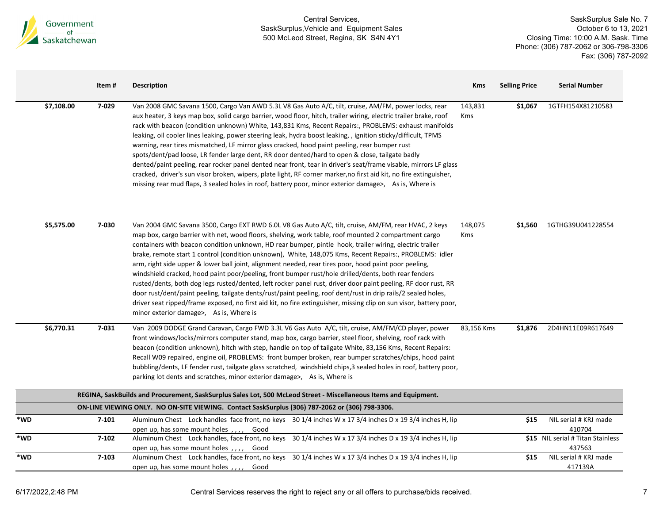

|     |            | Item#     | <b>Description</b>                                                                                                                                                                                                                                                                                                                                                                                                                                                                                                                                                                                                                                                                                                                                                                                                                                                                                                                                                                                                                                      | <b>Kms</b>     | <b>Selling Price</b> | <b>Serial Number</b>                        |
|-----|------------|-----------|---------------------------------------------------------------------------------------------------------------------------------------------------------------------------------------------------------------------------------------------------------------------------------------------------------------------------------------------------------------------------------------------------------------------------------------------------------------------------------------------------------------------------------------------------------------------------------------------------------------------------------------------------------------------------------------------------------------------------------------------------------------------------------------------------------------------------------------------------------------------------------------------------------------------------------------------------------------------------------------------------------------------------------------------------------|----------------|----------------------|---------------------------------------------|
|     | \$7,108.00 | 7-029     | Van 2008 GMC Savana 1500, Cargo Van AWD 5.3L V8 Gas Auto A/C, tilt, cruise, AM/FM, power locks, rear<br>aux heater, 3 keys map box, solid cargo barrier, wood floor, hitch, trailer wiring, electric trailer brake, roof<br>rack with beacon (condition unknown) White, 143,831 Kms, Recent Repairs:, PROBLEMS: exhaust manifolds<br>leaking, oil cooler lines leaking, power steering leak, hydra boost leaking, , ignition sticky/difficult, TPMS<br>warning, rear tires mismatched, LF mirror glass cracked, hood paint peeling, rear bumper rust<br>spots/dent/pad loose, LR fender large dent, RR door dented/hard to open & close, tailgate badly<br>dented/paint peeling, rear rocker panel dented near front, tear in driver's seat/frame visable, mirrors LF glass<br>cracked, driver's sun visor broken, wipers, plate light, RF corner marker, no first aid kit, no fire extinguisher,<br>missing rear mud flaps, 3 sealed holes in roof, battery poor, minor exterior damage>, As is, Where is                                              | 143,831<br>Kms | \$1,067              | 1GTFH154X81210583                           |
|     | \$5,575.00 | 7-030     | Van 2004 GMC Savana 3500, Cargo EXT RWD 6.0L V8 Gas Auto A/C, tilt, cruise, AM/FM, rear HVAC, 2 keys<br>map box, cargo barrier with net, wood floors, shelving, work table, roof mounted 2 compartment cargo<br>containers with beacon condition unknown, HD rear bumper, pintle hook, trailer wiring, electric trailer<br>brake, remote start 1 control (condition unknown), White, 148,075 Kms, Recent Repairs:, PROBLEMS: idler<br>arm, right side upper & lower ball joint, alignment needed, rear tires poor, hood paint poor peeling,<br>windshield cracked, hood paint poor/peeling, front bumper rust/hole drilled/dents, both rear fenders<br>rusted/dents, both dog legs rusted/dented, left rocker panel rust, driver door paint peeling, RF door rust, RR<br>door rust/dent/paint peeling, tailgate dents/rust/paint peeling, roof dent/rust in drip rails/2 sealed holes,<br>driver seat ripped/frame exposed, no first aid kit, no fire extinguisher, missing clip on sun visor, battery poor,<br>minor exterior damage>, As is, Where is | 148,075<br>Kms | \$1,560              | 1GTHG39U041228554                           |
|     | \$6,770.31 | 7-031     | Van 2009 DODGE Grand Caravan, Cargo FWD 3.3L V6 Gas Auto A/C, tilt, cruise, AM/FM/CD player, power<br>front windows/locks/mirrors computer stand, map box, cargo barrier, steel floor, shelving, roof rack with<br>beacon (condition unknown), hitch with step, handle on top of tailgate White, 83,156 Kms, Recent Repairs:<br>Recall W09 repaired, engine oil, PROBLEMS: front bumper broken, rear bumper scratches/chips, hood paint<br>bubbling/dents, LF fender rust, tailgate glass scratched, windshield chips,3 sealed holes in roof, battery poor,<br>parking lot dents and scratches, minor exterior damage>, As is, Where is                                                                                                                                                                                                                                                                                                                                                                                                                 | 83,156 Kms     | \$1,876              | 2D4HN11E09R617649                           |
|     |            |           | REGINA, SaskBuilds and Procurement, SaskSurplus Sales Lot, 500 McLeod Street - Miscellaneous Items and Equipment.                                                                                                                                                                                                                                                                                                                                                                                                                                                                                                                                                                                                                                                                                                                                                                                                                                                                                                                                       |                |                      |                                             |
|     |            |           | ON-LINE VIEWING ONLY. NO ON-SITE VIEWING. Contact SaskSurplus (306) 787-2062 or (306) 798-3306.                                                                                                                                                                                                                                                                                                                                                                                                                                                                                                                                                                                                                                                                                                                                                                                                                                                                                                                                                         |                |                      |                                             |
| *WD |            | $7 - 101$ | Aluminum Chest Lock handles face front, no keys 30 1/4 inches W x 17 3/4 inches D x 19 3/4 inches H, lip<br>open up, has some mount holes,,,,, Good                                                                                                                                                                                                                                                                                                                                                                                                                                                                                                                                                                                                                                                                                                                                                                                                                                                                                                     |                | \$15                 | NIL serial # KRJ made<br>410704             |
| *WD |            | $7 - 102$ | Aluminum Chest Lock handles, face front, no keys 30 1/4 inches W x 17 3/4 inches D x 19 3/4 inches H, lip<br>open up, has some mount holes,,,,<br>Good                                                                                                                                                                                                                                                                                                                                                                                                                                                                                                                                                                                                                                                                                                                                                                                                                                                                                                  |                |                      | \$15 NIL serial # Titan Stainless<br>437563 |
| *WD |            | $7 - 103$ | Aluminum Chest Lock handles, face front, no keys 30 1/4 inches W x 17 3/4 inches D x 19 3/4 inches H, lip<br>open up, has some mount holes,,,,<br>Good                                                                                                                                                                                                                                                                                                                                                                                                                                                                                                                                                                                                                                                                                                                                                                                                                                                                                                  |                | \$15                 | NIL serial # KRJ made<br>417139A            |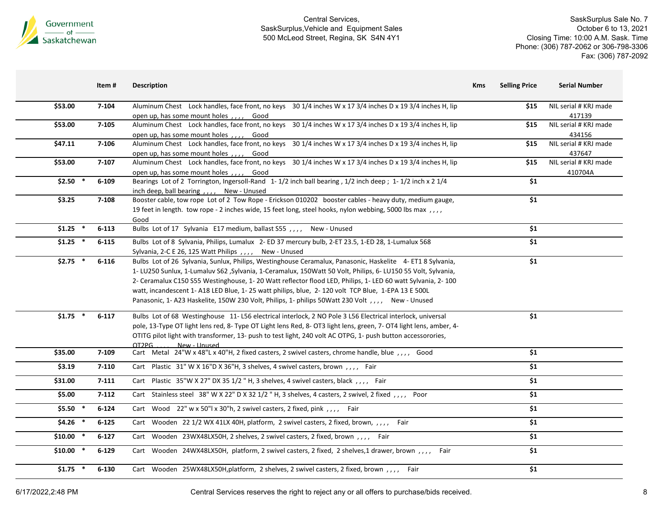

SaskSurplus Sale No. 7 October 6 to 13, 2021 Closing Time: 10:00 A.M. Sask. Time Phone: (306) 787-2062 or 306-798-3306 Fax: (306) 787-2092

|            | Item #    | <b>Description</b>                                                                                                                                                                                                                                                                                                                                                                                                                                                                                                                                 | <b>Selling Price</b><br><b>Kms</b> | <b>Serial Number</b>             |
|------------|-----------|----------------------------------------------------------------------------------------------------------------------------------------------------------------------------------------------------------------------------------------------------------------------------------------------------------------------------------------------------------------------------------------------------------------------------------------------------------------------------------------------------------------------------------------------------|------------------------------------|----------------------------------|
| \$53.00    | 7-104     | Aluminum Chest Lock handles, face front, no keys 30 1/4 inches W x 17 3/4 inches D x 19 3/4 inches H, lip<br>open up, has some mount holes, , Good                                                                                                                                                                                                                                                                                                                                                                                                 | \$15                               | NIL serial # KRJ made<br>417139  |
| \$53.00    | $7 - 105$ | Aluminum Chest Lock handles, face front, no keys 30 1/4 inches W x 17 3/4 inches D x 19 3/4 inches H, lip<br>open up, has some mount holes,,,,, Good                                                                                                                                                                                                                                                                                                                                                                                               | \$15                               | NIL serial # KRJ made<br>434156  |
| \$47.11    | $7 - 106$ | Aluminum Chest Lock handles, face front, no keys 30 1/4 inches W x 17 3/4 inches D x 19 3/4 inches H, lip<br>open up, has some mount holes,,,,, Good                                                                                                                                                                                                                                                                                                                                                                                               | \$15                               | NIL serial # KRJ made<br>437647  |
| \$53.00    | $7 - 107$ | Aluminum Chest Lock handles, face front, no keys 30 1/4 inches W x 17 3/4 inches D x 19 3/4 inches H, lip<br>open up, has some mount holes,,,, Good                                                                                                                                                                                                                                                                                                                                                                                                | \$15                               | NIL serial # KRJ made<br>410704A |
| $$2.50$ *  | $6 - 109$ | Bearings Lot of 2 Torrington, Ingersoll-Rand 1-1/2 inch ball bearing, 1/2 inch deep; 1-1/2 inch x 2 1/4<br>inch deep, ball bearing, ,,,, New - Unused                                                                                                                                                                                                                                                                                                                                                                                              | \$1                                |                                  |
| \$3.25     | 7-108     | Booster cable, tow rope Lot of 2 Tow Rope - Erickson 010202 booster cables - heavy duty, medium gauge,<br>19 feet in length. tow rope - 2 inches wide, 15 feet long, steel hooks, nylon webbing, 5000 lbs max, ,,,<br>Good                                                                                                                                                                                                                                                                                                                         | \$1                                |                                  |
| $$1.25$ *  | $6 - 113$ | Bulbs Lot of 17 Sylvania E17 medium, ballast S55,,,, New - Unused                                                                                                                                                                                                                                                                                                                                                                                                                                                                                  | \$1                                |                                  |
| $$1.25$ *  | $6 - 115$ | Bulbs Lot of 8 Sylvania, Philips, Lumalux 2-ED 37 mercury bulb, 2-ET 23.5, 1-ED 28, 1-Lumalux 568<br>Sylvania, 2-C E 26, 125 Watt Philips,,,, New - Unused                                                                                                                                                                                                                                                                                                                                                                                         | \$1                                |                                  |
| $$2.75$ *  | $6 - 116$ | Bulbs Lot of 26 Sylvania, Sunlux, Philips, Westinghouse Ceramalux, Panasonic, Haskelite 4-ET1 8 Sylvania,<br>1- LU250 Sunlux, 1-Lumaluv S62 , Sylvania, 1-Ceramalux, 150Watt 50 Volt, Philips, 6- LU150 55 Volt, Sylvania,<br>2- Ceramalux C150 S55 Westinghouse, 1-20 Watt reflector flood LED, Philips, 1-LED 60 watt Sylvania, 2-100<br>watt, incandescent 1-A18 LED Blue, 1-25 watt philips, blue, 2-120 volt TCP Blue, 1-EPA 13 E 500L<br>Panasonic, 1-A23 Haskelite, 150W 230 Volt, Philips, 1- philips 50Watt 230 Volt , , , , New - Unused | \$1                                |                                  |
| $$1.75$ *  | $6 - 117$ | Bulbs Lot of 68 Westinghouse 11-L56 electrical interlock, 2 NO Pole 3 L56 Electrical interlock, universal<br>pole, 13-Type OT light lens red, 8- Type OT Light lens Red, 8- OT3 light lens, green, 7- OT4 light lens, amber, 4-<br>OTITG pilot light with transformer, 13- push to test light, 240 volt AC OTPG, 1- push button accessorories,<br>New - Unused<br>OT2PG                                                                                                                                                                            | \$1                                |                                  |
| \$35.00    | 7-109     | Cart Metal 24"W x 48"L x 40"H, 2 fixed casters, 2 swivel casters, chrome handle, blue, ,,,, Good                                                                                                                                                                                                                                                                                                                                                                                                                                                   | \$1                                |                                  |
| \$3.19     | $7 - 110$ | Cart Plastic 31" W X 16"D X 36"H, 3 shelves, 4 swivel casters, brown,,,, Fair                                                                                                                                                                                                                                                                                                                                                                                                                                                                      | \$1                                |                                  |
| \$31.00    | $7 - 111$ | Cart Plastic 35"W X 27" DX 35 1/2 " H, 3 shelves, 4 swivel casters, black, ,,,, Fair                                                                                                                                                                                                                                                                                                                                                                                                                                                               | \$1                                |                                  |
| \$5.00     | $7 - 112$ | Cart Stainless steel 38" W X 22" D X 32 1/2 " H, 3 shelves, 4 casters, 2 swivel, 2 fixed,,,, Poor                                                                                                                                                                                                                                                                                                                                                                                                                                                  | \$1                                |                                  |
| $$5.50$ *  | $6 - 124$ | Cart Wood 22" w x 50"l x 30"h, 2 swivel casters, 2 fixed, pink $, \ldots$ Fair                                                                                                                                                                                                                                                                                                                                                                                                                                                                     | \$1                                |                                  |
| $$4.26$ *  | $6 - 125$ | Cart Wooden 22 1/2 WX 41LX 40H, platform, 2 swivel casters, 2 fixed, brown, ,,,, Fair                                                                                                                                                                                                                                                                                                                                                                                                                                                              | \$1                                |                                  |
| $$10.00$ * | $6 - 127$ | Cart Wooden 23WX48LX50H, 2 shelves, 2 swivel casters, 2 fixed, brown,,,, Fair                                                                                                                                                                                                                                                                                                                                                                                                                                                                      | \$1                                |                                  |
| $$10.00$ * | $6 - 129$ | Cart Wooden 24WX48LX50H, platform, 2 swivel casters, 2 fixed, 2 shelves,1 drawer, brown,,,, Fair                                                                                                                                                                                                                                                                                                                                                                                                                                                   | \$1                                |                                  |
| $$1.75$ *  | $6 - 130$ | Cart Wooden 25WX48LX50H,platform, 2 shelves, 2 swivel casters, 2 fixed, brown,,,, Fair                                                                                                                                                                                                                                                                                                                                                                                                                                                             | \$1                                |                                  |

6/17/2022,2:48 PM Central Services reserves the right to reject any or all offers to purchase/bids received. 8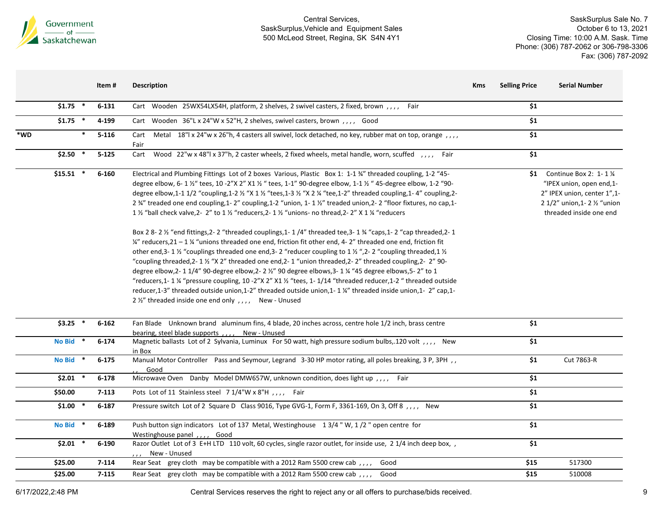

SaskSurplus Sale No. 7 October 6 to 13, 2021 Closing Time: 10:00 A.M. Sask. Time Phone: (306) 787-2062 or 306-798-3306 Fax: (306) 787-2092

|     |            |   | Item#     | <b>Description</b>                                                                                                                                                                                                                                                                                                                                                                                                                                                                                                                                                                                                                                                                                                                                                                                                                                                                                                                                                                                                                                                                                                                                                                                                                                                                                                                                                                                                                                                                                                                | <b>Selling Price</b><br><b>Kms</b> | <b>Serial Number</b>                                                                                                                                                |
|-----|------------|---|-----------|-----------------------------------------------------------------------------------------------------------------------------------------------------------------------------------------------------------------------------------------------------------------------------------------------------------------------------------------------------------------------------------------------------------------------------------------------------------------------------------------------------------------------------------------------------------------------------------------------------------------------------------------------------------------------------------------------------------------------------------------------------------------------------------------------------------------------------------------------------------------------------------------------------------------------------------------------------------------------------------------------------------------------------------------------------------------------------------------------------------------------------------------------------------------------------------------------------------------------------------------------------------------------------------------------------------------------------------------------------------------------------------------------------------------------------------------------------------------------------------------------------------------------------------|------------------------------------|---------------------------------------------------------------------------------------------------------------------------------------------------------------------|
|     | $$1.75$ *  |   | $6 - 131$ | Cart Wooden 25WX54LX54H, platform, 2 shelves, 2 swivel casters, 2 fixed, brown, ,,,, Fair                                                                                                                                                                                                                                                                                                                                                                                                                                                                                                                                                                                                                                                                                                                                                                                                                                                                                                                                                                                                                                                                                                                                                                                                                                                                                                                                                                                                                                         | \$1                                |                                                                                                                                                                     |
|     | $$1.75$ *  |   | 4-199     | Cart Wooden 36"L x 24"W x 52"H, 2 shelves, swivel casters, brown,,,, Good                                                                                                                                                                                                                                                                                                                                                                                                                                                                                                                                                                                                                                                                                                                                                                                                                                                                                                                                                                                                                                                                                                                                                                                                                                                                                                                                                                                                                                                         | \$1                                |                                                                                                                                                                     |
| *WD |            | * | $5 - 116$ | Cart Metal 18"  x 24"w x 26"h, 4 casters all swivel, lock detached, no key, rubber mat on top, orange, ,,,<br>Fair                                                                                                                                                                                                                                                                                                                                                                                                                                                                                                                                                                                                                                                                                                                                                                                                                                                                                                                                                                                                                                                                                                                                                                                                                                                                                                                                                                                                                | \$1                                |                                                                                                                                                                     |
|     | $$2.50$ *  |   | $5 - 125$ | Cart Wood 22"w x 48"l x 37"h, 2 caster wheels, 2 fixed wheels, metal handle, worn, scuffed, ,,,, Fair                                                                                                                                                                                                                                                                                                                                                                                                                                                                                                                                                                                                                                                                                                                                                                                                                                                                                                                                                                                                                                                                                                                                                                                                                                                                                                                                                                                                                             | \$1                                |                                                                                                                                                                     |
|     | $$15.51$ * |   | 6-160     | Electrical and Plumbing Fittings Lot of 2 boxes Various, Plastic Box 1: 1-1 34" threaded coupling, 1-2 "45-<br>degree elbow, 6- 1 1/2" tees, 10 -2"X 2" X1 1/2 " tees, 1-1" 90-degree elbow, 1-1 1/2 " 45-degree elbow, 1-2 "90-<br>degree elbow, 1-1 1/2 "coupling, 1-2 1/2 "X 1 1/2 "tees, 1-3 1/2 "X 2 1/4 "tee, 1-2" threaded coupling, 1-4" coupling, 2-<br>2 34" treaded one end coupling, 1-2" coupling, 1-2 "union, 1-1 1/2" treaded union, 2-2 "floor fixtures, no cap, 1-<br>1 1/2 "ball check valve, 2- 2" to 1 1/2 "reducers, 2- 1 1/2 "unions- no thread, 2- 2" X 1 1/4 "reducers<br>Box 2 8-2 1/2 "end fittings, 2-2 "threaded couplings, 1-1/4" threaded tee, 3-1 34 "caps, 1-2 "cap threaded, 2-1<br>$\frac{1}{4}$ " reducers, 21 – 1 $\frac{1}{4}$ "unions threaded one end, friction fit other end, 4-2" threaded one end, friction fit<br>other end, 3-1 $\frac{1}{2}$ "couplings threaded one end, 3-2 "reducer coupling to 1 $\frac{1}{2}$ ", 2-2 "coupling threaded, 1 $\frac{1}{2}$<br>"coupling threaded, 2-1 1/2 "X 2" threaded one end, 2-1 "union threaded, 2-2" threaded coupling, 2-2" 90-<br>degree elbow, 2- 1 1/4" 90-degree elbow, 2- 2 1/2" 90 degree elbows, 3- 1 1/4 "45 degree elbows, 5- 2" to 1<br>"reducers, 1-1 ¼ "pressure coupling, 10 -2"X 2" X1 ½ "tees, 1-1/14 "threaded reducer, 1-2 " threaded outside<br>reducer, 1-3" threaded outside union, 1-2" threaded outside union, 1-1 1/4" threaded inside union, 1-2" cap, 1-<br>2 1/2" threaded inside one end only,,,, New - Unused |                                    | \$1 Continue Box 2: $1 - 1$ %<br>"IPEX union, open end,1-<br>2" IPEX union, center 1", 1-<br>2 $1/2$ " union, 1 - 2 $\frac{1}{2}$ "union<br>threaded inside one end |
|     | $$3.25$ *  |   | $6 - 162$ | Fan Blade Unknown brand aluminum fins, 4 blade, 20 inches across, centre hole 1/2 inch, brass centre<br>bearing, steel blade supports, , , , New - Unused                                                                                                                                                                                                                                                                                                                                                                                                                                                                                                                                                                                                                                                                                                                                                                                                                                                                                                                                                                                                                                                                                                                                                                                                                                                                                                                                                                         | \$1                                |                                                                                                                                                                     |
|     | No Bid *   |   | $6 - 174$ | Magnetic ballasts Lot of 2 Sylvania, Luminux For 50 watt, high pressure sodium bulbs, 120 volt , , , , New<br>in Box                                                                                                                                                                                                                                                                                                                                                                                                                                                                                                                                                                                                                                                                                                                                                                                                                                                                                                                                                                                                                                                                                                                                                                                                                                                                                                                                                                                                              | \$1                                |                                                                                                                                                                     |
|     | No Bid *   |   | $6 - 175$ | Manual Motor Controller Pass and Seymour, Legrand 3-30 HP motor rating, all poles breaking, 3 P, 3PH , ,<br>Good                                                                                                                                                                                                                                                                                                                                                                                                                                                                                                                                                                                                                                                                                                                                                                                                                                                                                                                                                                                                                                                                                                                                                                                                                                                                                                                                                                                                                  | \$1                                | Cut 7863-R                                                                                                                                                          |
|     | $$2.01$ *  |   | $6 - 178$ | Microwave Oven Danby Model DMW657W, unknown condition, does light up,,,, Fair                                                                                                                                                                                                                                                                                                                                                                                                                                                                                                                                                                                                                                                                                                                                                                                                                                                                                                                                                                                                                                                                                                                                                                                                                                                                                                                                                                                                                                                     | \$1                                |                                                                                                                                                                     |
|     | \$50.00    |   | $7 - 113$ | Pots Lot of 11 Stainless steel 7 1/4"W x 8"H , , , , Fair                                                                                                                                                                                                                                                                                                                                                                                                                                                                                                                                                                                                                                                                                                                                                                                                                                                                                                                                                                                                                                                                                                                                                                                                                                                                                                                                                                                                                                                                         | \$1                                |                                                                                                                                                                     |
|     | $$1.00$ *  |   | $6 - 187$ | Pressure switch Lot of 2 Square D Class 9016, Type GVG-1, Form F, 3361-169, On 3, Off 8, , New                                                                                                                                                                                                                                                                                                                                                                                                                                                                                                                                                                                                                                                                                                                                                                                                                                                                                                                                                                                                                                                                                                                                                                                                                                                                                                                                                                                                                                    | \$1                                |                                                                                                                                                                     |
|     | No Bid *   |   | 6-189     | Push button sign indicators Lot of 137 Metal, Westinghouse 13/4"W, 1/2" open centre for<br>Westinghouse panel,,,, Good                                                                                                                                                                                                                                                                                                                                                                                                                                                                                                                                                                                                                                                                                                                                                                                                                                                                                                                                                                                                                                                                                                                                                                                                                                                                                                                                                                                                            | \$1                                |                                                                                                                                                                     |
|     | $$2.01$ *  |   | 6-190     | Razor Outlet Lot of 3 E+H LTD 110 volt, 60 cycles, single razor outlet, for inside use, 2 1/4 inch deep box, ,<br>$, \, , \,$ New - Unused                                                                                                                                                                                                                                                                                                                                                                                                                                                                                                                                                                                                                                                                                                                                                                                                                                                                                                                                                                                                                                                                                                                                                                                                                                                                                                                                                                                        | \$1                                |                                                                                                                                                                     |
|     | \$25.00    |   | $7 - 114$ | Rear Seat grey cloth may be compatible with a 2012 Ram 5500 crew cab, , , ,<br>Good                                                                                                                                                                                                                                                                                                                                                                                                                                                                                                                                                                                                                                                                                                                                                                                                                                                                                                                                                                                                                                                                                                                                                                                                                                                                                                                                                                                                                                               | \$15                               | 517300                                                                                                                                                              |
|     | \$25.00    |   | $7 - 115$ | Rear Seat grey cloth may be compatible with a 2012 Ram 5500 crew cab, , , ,<br>Good                                                                                                                                                                                                                                                                                                                                                                                                                                                                                                                                                                                                                                                                                                                                                                                                                                                                                                                                                                                                                                                                                                                                                                                                                                                                                                                                                                                                                                               | \$15                               | 510008                                                                                                                                                              |

6/17/2022,2:48 PM Central Services reserves the right to reject any or all offers to purchase/bids received. 9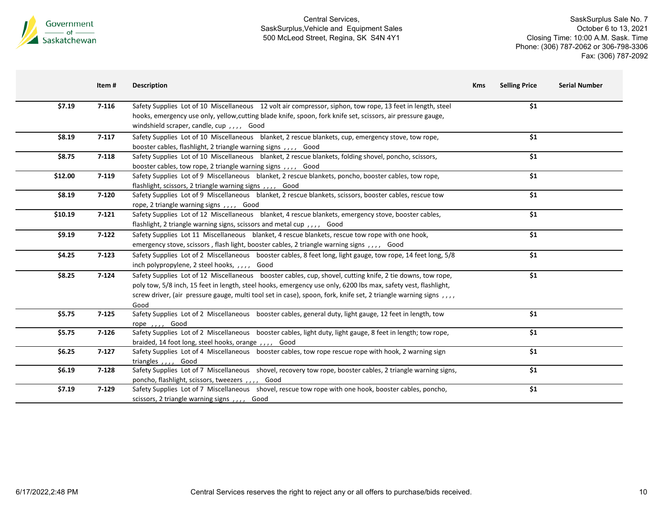

|         | Item#     | <b>Description</b>                                                                                                   | <b>Kms</b> | <b>Selling Price</b> | <b>Serial Number</b> |
|---------|-----------|----------------------------------------------------------------------------------------------------------------------|------------|----------------------|----------------------|
| \$7.19  | $7 - 116$ | Safety Supplies Lot of 10 Miscellaneous 12 volt air compressor, siphon, tow rope, 13 feet in length, steel           |            | \$1                  |                      |
|         |           | hooks, emergency use only, yellow, cutting blade knife, spoon, fork knife set, scissors, air pressure gauge,         |            |                      |                      |
|         |           | windshield scraper, candle, cup,,,, Good                                                                             |            |                      |                      |
| \$8.19  | $7-117$   | Safety Supplies Lot of 10 Miscellaneous blanket, 2 rescue blankets, cup, emergency stove, tow rope,                  |            | \$1                  |                      |
|         |           | booster cables, flashlight, 2 triangle warning signs,,,, Good                                                        |            |                      |                      |
| \$8.75  | $7 - 118$ | Safety Supplies Lot of 10 Miscellaneous blanket, 2 rescue blankets, folding shovel, poncho, scissors,                |            | \$1                  |                      |
|         |           | booster cables, tow rope, 2 triangle warning signs, ,,,, Good                                                        |            |                      |                      |
| \$12.00 | $7 - 119$ | Safety Supplies Lot of 9 Miscellaneous blanket, 2 rescue blankets, poncho, booster cables, tow rope,                 |            | \$1                  |                      |
|         |           | flashlight, scissors, 2 triangle warning signs, ,,,, Good                                                            |            |                      |                      |
| \$8.19  | $7 - 120$ | Safety Supplies Lot of 9 Miscellaneous blanket, 2 rescue blankets, scissors, booster cables, rescue tow              |            | \$1                  |                      |
|         |           | rope, 2 triangle warning signs, ,,,, Good                                                                            |            |                      |                      |
| \$10.19 | $7 - 121$ | Safety Supplies Lot of 12 Miscellaneous blanket, 4 rescue blankets, emergency stove, booster cables,                 |            | \$1                  |                      |
|         |           | flashlight, 2 triangle warning signs, scissors and metal cup,,,, Good                                                |            |                      |                      |
| \$9.19  | $7 - 122$ | Safety Supplies Lot 11 Miscellaneous blanket, 4 rescue blankets, rescue tow rope with one hook,                      |            | \$1                  |                      |
|         |           | emergency stove, scissors, flash light, booster cables, 2 triangle warning signs,,,, Good                            |            |                      |                      |
| \$4.25  | $7-123$   | Safety Supplies Lot of 2 Miscellaneous booster cables, 8 feet long, light gauge, tow rope, 14 feet long, 5/8         |            | \$1                  |                      |
|         |           | inch polypropylene, 2 steel hooks, ,,,, Good                                                                         |            |                      |                      |
| \$8.25  | $7 - 124$ | Safety Supplies Lot of 12 Miscellaneous booster cables, cup, shovel, cutting knife, 2 tie downs, tow rope,           |            | \$1                  |                      |
|         |           | poly tow, 5/8 inch, 15 feet in length, steel hooks, emergency use only, 6200 lbs max, safety vest, flashlight,       |            |                      |                      |
|         |           | screw driver, (air pressure gauge, multi tool set in case), spoon, fork, knife set, 2 triangle warning signs , , , , |            |                      |                      |
|         |           | Good                                                                                                                 |            |                      |                      |
| \$5.75  | $7 - 125$ | Safety Supplies Lot of 2 Miscellaneous booster cables, general duty, light gauge, 12 feet in length, tow             |            | \$1                  |                      |
|         |           | rope,,,, Good                                                                                                        |            |                      |                      |
| \$5.75  | $7 - 126$ | Safety Supplies Lot of 2 Miscellaneous booster cables, light duty, light gauge, 8 feet in length; tow rope,          |            | \$1                  |                      |
|         |           | braided, 14 foot long, steel hooks, orange, ,,,, Good                                                                |            |                      |                      |
| \$6.25  | $7-127$   | Safety Supplies Lot of 4 Miscellaneous booster cables, tow rope rescue rope with hook, 2 warning sign                |            | \$1                  |                      |
|         |           | triangles , , , Good                                                                                                 |            |                      |                      |
| \$6.19  | $7 - 128$ | Safety Supplies Lot of 7 Miscellaneous shovel, recovery tow rope, booster cables, 2 triangle warning signs,          |            | \$1                  |                      |
|         |           | poncho, flashlight, scissors, tweezers, ,,,, Good                                                                    |            | \$1                  |                      |
| \$7.19  | $7 - 129$ | Safety Supplies Lot of 7 Miscellaneous shovel, rescue tow rope with one hook, booster cables, poncho,                |            |                      |                      |
|         |           | scissors, 2 triangle warning signs, , , , Good                                                                       |            |                      |                      |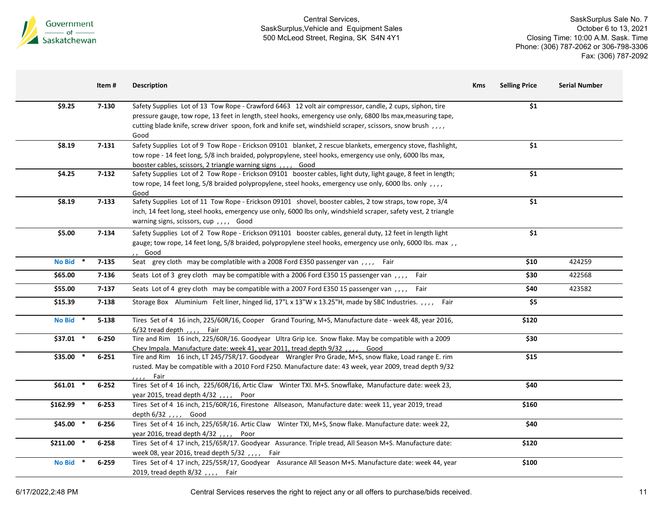

| \$1<br>\$9.25<br>$7 - 130$<br>Safety Supplies Lot of 13 Tow Rope - Crawford 6463 12 volt air compressor, candle, 2 cups, siphon, tire<br>pressure gauge, tow rope, 13 feet in length, steel hooks, emergency use only, 6800 lbs max, measuring tape,<br>cutting blade knife, screw driver spoon, fork and knife set, windshield scraper, scissors, snow brush,,,,<br>Good<br>\$8.19<br>$7 - 131$<br>Safety Supplies Lot of 9 Tow Rope - Erickson 09101 blanket, 2 rescue blankets, emergency stove, flashlight,<br>\$1<br>tow rope - 14 feet long, 5/8 inch braided, polypropylene, steel hooks, emergency use only, 6000 lbs max,<br>booster cables, scissors, 2 triangle warning signs,,,, Good<br>\$4.25<br>$7 - 132$<br>\$1<br>Safety Supplies Lot of 2 Tow Rope - Erickson 09101 booster cables, light duty, light gauge, 8 feet in length;<br>tow rope, 14 feet long, 5/8 braided polypropylene, steel hooks, emergency use only, 6000 lbs. only,,,,<br>Good<br>\$1<br>\$8.19<br>$7 - 133$<br>Safety Supplies Lot of 11 Tow Rope - Erickson 09101 shovel, booster cables, 2 tow straps, tow rope, 3/4<br>inch, 14 feet long, steel hooks, emergency use only, 6000 lbs only, windshield scraper, safety vest, 2 triangle<br>warning signs, scissors, cup,,,, Good<br>\$1<br>$7 - 134$<br>\$5.00<br>Safety Supplies Lot of 2 Tow Rope - Erickson 091101 booster cables, general duty, 12 feet in length light<br>gauge; tow rope, 14 feet long, 5/8 braided, polypropylene steel hooks, emergency use only, 6000 lbs. max,,<br>,, Good<br>Seat grey cloth may be complatible with a 2008 Ford E350 passenger van , , , , Fair<br><b>No Bid</b><br>\$10<br>$7 - 135$<br>424259<br>\$65.00<br>$7 - 136$<br>Seats Lot of 3 grey cloth may be compatible with a 2006 Ford E350 15 passenger van ,,,,<br>422568<br>\$30<br>Fair<br>$7 - 137$<br>\$55.00<br>Seats Lot of 4 grey cloth may be compatible with a 2007 Ford E350 15 passenger van , , , , Fair<br>\$40<br>423582<br>\$15.39<br>$7 - 138$<br>Storage Box Aluminium Felt liner, hinged lid, 17"L x 13"W x 13.25"H, made by SBC Industries. , , , , Fair<br>\$5<br>\$120<br><b>No Bid</b><br>$5 - 138$<br>Tires Set of 4 16 inch, 225/60R/16, Cooper Grand Touring, M+S, Manufacture date - week 48, year 2016,<br>$\ast$<br>$6/32$ tread depth , , , Fair<br>Tire and Rim 16 inch, 225/60R/16. Goodyear Ultra Grip Ice. Snow flake. May be compatible with a 2009<br>$$37.01$ *<br>$6 - 250$<br>\$30<br>Chev Impala. Manufacture date: week 41, year 2011, tread depth 9/32,<br>Good<br>\$35.00 *<br>\$15<br>$6 - 251$<br>Tire and Rim 16 inch, LT 245/75R/17. Goodyear Wrangler Pro Grade, M+S, snow flake, Load range E. rim<br>rusted. May be compatible with a 2010 Ford F250. Manufacture date: 43 week, year 2009, tread depth 9/32<br>Fair<br>, , , ,<br>Tires Set of 4 16 inch, 225/60R/16, Artic Claw Winter TXI. M+S. Snowflake, Manufacture date: week 23,<br>\$61.01 *<br>$6 - 252$<br>\$40<br>year 2015, tread depth $4/32$ ,,,, Poor<br>$$162.99$ *<br>\$160<br>$6 - 253$<br>Tires Set of 4 16 inch, 215/60R/16, Firestone Allseason, Manufacture date: week 11, year 2019, tread<br>depth 6/32 , , , , Good<br>$$45.00$ *<br>Tires Set of 4 16 inch, 225/65R/16. Artic Claw Winter TXI, M+S, Snow flake. Manufacture date: week 22,<br>$6 - 256$<br>\$40<br>year 2016, tread depth 4/32,,,, Poor<br>$$211.00$ *<br>Tires Set of 4 17 inch, 215/65R/17. Goodyear Assurance. Triple tread, All Season M+S. Manufacture date:<br>$6 - 258$<br>\$120<br>week 08, year 2016, tread depth 5/32,,,, Fair<br>Tires Set of 4 17 inch, 225/55R/17, Goodyear Assurance All Season M+S. Manufacture date: week 44, year<br><b>No Bid</b><br>\$100<br>$6 - 259$ | Item# | <b>Description</b>              | <b>Kms</b> | <b>Selling Price</b> | <b>Serial Number</b> |
|-----------------------------------------------------------------------------------------------------------------------------------------------------------------------------------------------------------------------------------------------------------------------------------------------------------------------------------------------------------------------------------------------------------------------------------------------------------------------------------------------------------------------------------------------------------------------------------------------------------------------------------------------------------------------------------------------------------------------------------------------------------------------------------------------------------------------------------------------------------------------------------------------------------------------------------------------------------------------------------------------------------------------------------------------------------------------------------------------------------------------------------------------------------------------------------------------------------------------------------------------------------------------------------------------------------------------------------------------------------------------------------------------------------------------------------------------------------------------------------------------------------------------------------------------------------------------------------------------------------------------------------------------------------------------------------------------------------------------------------------------------------------------------------------------------------------------------------------------------------------------------------------------------------------------------------------------------------------------------------------------------------------------------------------------------------------------------------------------------------------------------------------------------------------------------------------------------------------------------------------------------------------------------------------------------------------------------------------------------------------------------------------------------------------------------------------------------------------------------------------------------------------------------------------------------------------------------------------------------------------------------------------------------------------------------------------------------------------------------------------------------------------------------------------------------------------------------------------------------------------------------------------------------------------------------------------------------------------------------------------------------------------------------------------------------------------------------------------------------------------------------------------------------------------------------------------------------------------------------------------------------------------------------------------------------------------------------------------------------------------------------------------------------------------------------------------------------------------------------------------------------------------------------------------------------------------------------------------------------------------------------------------------------------------------------------------------------------------------------|-------|---------------------------------|------------|----------------------|----------------------|
|                                                                                                                                                                                                                                                                                                                                                                                                                                                                                                                                                                                                                                                                                                                                                                                                                                                                                                                                                                                                                                                                                                                                                                                                                                                                                                                                                                                                                                                                                                                                                                                                                                                                                                                                                                                                                                                                                                                                                                                                                                                                                                                                                                                                                                                                                                                                                                                                                                                                                                                                                                                                                                                                                                                                                                                                                                                                                                                                                                                                                                                                                                                                                                                                                                                                                                                                                                                                                                                                                                                                                                                                                                                                                                                             |       |                                 |            |                      |                      |
|                                                                                                                                                                                                                                                                                                                                                                                                                                                                                                                                                                                                                                                                                                                                                                                                                                                                                                                                                                                                                                                                                                                                                                                                                                                                                                                                                                                                                                                                                                                                                                                                                                                                                                                                                                                                                                                                                                                                                                                                                                                                                                                                                                                                                                                                                                                                                                                                                                                                                                                                                                                                                                                                                                                                                                                                                                                                                                                                                                                                                                                                                                                                                                                                                                                                                                                                                                                                                                                                                                                                                                                                                                                                                                                             |       |                                 |            |                      |                      |
|                                                                                                                                                                                                                                                                                                                                                                                                                                                                                                                                                                                                                                                                                                                                                                                                                                                                                                                                                                                                                                                                                                                                                                                                                                                                                                                                                                                                                                                                                                                                                                                                                                                                                                                                                                                                                                                                                                                                                                                                                                                                                                                                                                                                                                                                                                                                                                                                                                                                                                                                                                                                                                                                                                                                                                                                                                                                                                                                                                                                                                                                                                                                                                                                                                                                                                                                                                                                                                                                                                                                                                                                                                                                                                                             |       |                                 |            |                      |                      |
|                                                                                                                                                                                                                                                                                                                                                                                                                                                                                                                                                                                                                                                                                                                                                                                                                                                                                                                                                                                                                                                                                                                                                                                                                                                                                                                                                                                                                                                                                                                                                                                                                                                                                                                                                                                                                                                                                                                                                                                                                                                                                                                                                                                                                                                                                                                                                                                                                                                                                                                                                                                                                                                                                                                                                                                                                                                                                                                                                                                                                                                                                                                                                                                                                                                                                                                                                                                                                                                                                                                                                                                                                                                                                                                             |       |                                 |            |                      |                      |
|                                                                                                                                                                                                                                                                                                                                                                                                                                                                                                                                                                                                                                                                                                                                                                                                                                                                                                                                                                                                                                                                                                                                                                                                                                                                                                                                                                                                                                                                                                                                                                                                                                                                                                                                                                                                                                                                                                                                                                                                                                                                                                                                                                                                                                                                                                                                                                                                                                                                                                                                                                                                                                                                                                                                                                                                                                                                                                                                                                                                                                                                                                                                                                                                                                                                                                                                                                                                                                                                                                                                                                                                                                                                                                                             |       |                                 |            |                      |                      |
|                                                                                                                                                                                                                                                                                                                                                                                                                                                                                                                                                                                                                                                                                                                                                                                                                                                                                                                                                                                                                                                                                                                                                                                                                                                                                                                                                                                                                                                                                                                                                                                                                                                                                                                                                                                                                                                                                                                                                                                                                                                                                                                                                                                                                                                                                                                                                                                                                                                                                                                                                                                                                                                                                                                                                                                                                                                                                                                                                                                                                                                                                                                                                                                                                                                                                                                                                                                                                                                                                                                                                                                                                                                                                                                             |       |                                 |            |                      |                      |
|                                                                                                                                                                                                                                                                                                                                                                                                                                                                                                                                                                                                                                                                                                                                                                                                                                                                                                                                                                                                                                                                                                                                                                                                                                                                                                                                                                                                                                                                                                                                                                                                                                                                                                                                                                                                                                                                                                                                                                                                                                                                                                                                                                                                                                                                                                                                                                                                                                                                                                                                                                                                                                                                                                                                                                                                                                                                                                                                                                                                                                                                                                                                                                                                                                                                                                                                                                                                                                                                                                                                                                                                                                                                                                                             |       |                                 |            |                      |                      |
|                                                                                                                                                                                                                                                                                                                                                                                                                                                                                                                                                                                                                                                                                                                                                                                                                                                                                                                                                                                                                                                                                                                                                                                                                                                                                                                                                                                                                                                                                                                                                                                                                                                                                                                                                                                                                                                                                                                                                                                                                                                                                                                                                                                                                                                                                                                                                                                                                                                                                                                                                                                                                                                                                                                                                                                                                                                                                                                                                                                                                                                                                                                                                                                                                                                                                                                                                                                                                                                                                                                                                                                                                                                                                                                             |       |                                 |            |                      |                      |
|                                                                                                                                                                                                                                                                                                                                                                                                                                                                                                                                                                                                                                                                                                                                                                                                                                                                                                                                                                                                                                                                                                                                                                                                                                                                                                                                                                                                                                                                                                                                                                                                                                                                                                                                                                                                                                                                                                                                                                                                                                                                                                                                                                                                                                                                                                                                                                                                                                                                                                                                                                                                                                                                                                                                                                                                                                                                                                                                                                                                                                                                                                                                                                                                                                                                                                                                                                                                                                                                                                                                                                                                                                                                                                                             |       |                                 |            |                      |                      |
|                                                                                                                                                                                                                                                                                                                                                                                                                                                                                                                                                                                                                                                                                                                                                                                                                                                                                                                                                                                                                                                                                                                                                                                                                                                                                                                                                                                                                                                                                                                                                                                                                                                                                                                                                                                                                                                                                                                                                                                                                                                                                                                                                                                                                                                                                                                                                                                                                                                                                                                                                                                                                                                                                                                                                                                                                                                                                                                                                                                                                                                                                                                                                                                                                                                                                                                                                                                                                                                                                                                                                                                                                                                                                                                             |       |                                 |            |                      |                      |
|                                                                                                                                                                                                                                                                                                                                                                                                                                                                                                                                                                                                                                                                                                                                                                                                                                                                                                                                                                                                                                                                                                                                                                                                                                                                                                                                                                                                                                                                                                                                                                                                                                                                                                                                                                                                                                                                                                                                                                                                                                                                                                                                                                                                                                                                                                                                                                                                                                                                                                                                                                                                                                                                                                                                                                                                                                                                                                                                                                                                                                                                                                                                                                                                                                                                                                                                                                                                                                                                                                                                                                                                                                                                                                                             |       |                                 |            |                      |                      |
|                                                                                                                                                                                                                                                                                                                                                                                                                                                                                                                                                                                                                                                                                                                                                                                                                                                                                                                                                                                                                                                                                                                                                                                                                                                                                                                                                                                                                                                                                                                                                                                                                                                                                                                                                                                                                                                                                                                                                                                                                                                                                                                                                                                                                                                                                                                                                                                                                                                                                                                                                                                                                                                                                                                                                                                                                                                                                                                                                                                                                                                                                                                                                                                                                                                                                                                                                                                                                                                                                                                                                                                                                                                                                                                             |       |                                 |            |                      |                      |
|                                                                                                                                                                                                                                                                                                                                                                                                                                                                                                                                                                                                                                                                                                                                                                                                                                                                                                                                                                                                                                                                                                                                                                                                                                                                                                                                                                                                                                                                                                                                                                                                                                                                                                                                                                                                                                                                                                                                                                                                                                                                                                                                                                                                                                                                                                                                                                                                                                                                                                                                                                                                                                                                                                                                                                                                                                                                                                                                                                                                                                                                                                                                                                                                                                                                                                                                                                                                                                                                                                                                                                                                                                                                                                                             |       |                                 |            |                      |                      |
|                                                                                                                                                                                                                                                                                                                                                                                                                                                                                                                                                                                                                                                                                                                                                                                                                                                                                                                                                                                                                                                                                                                                                                                                                                                                                                                                                                                                                                                                                                                                                                                                                                                                                                                                                                                                                                                                                                                                                                                                                                                                                                                                                                                                                                                                                                                                                                                                                                                                                                                                                                                                                                                                                                                                                                                                                                                                                                                                                                                                                                                                                                                                                                                                                                                                                                                                                                                                                                                                                                                                                                                                                                                                                                                             |       |                                 |            |                      |                      |
|                                                                                                                                                                                                                                                                                                                                                                                                                                                                                                                                                                                                                                                                                                                                                                                                                                                                                                                                                                                                                                                                                                                                                                                                                                                                                                                                                                                                                                                                                                                                                                                                                                                                                                                                                                                                                                                                                                                                                                                                                                                                                                                                                                                                                                                                                                                                                                                                                                                                                                                                                                                                                                                                                                                                                                                                                                                                                                                                                                                                                                                                                                                                                                                                                                                                                                                                                                                                                                                                                                                                                                                                                                                                                                                             |       |                                 |            |                      |                      |
|                                                                                                                                                                                                                                                                                                                                                                                                                                                                                                                                                                                                                                                                                                                                                                                                                                                                                                                                                                                                                                                                                                                                                                                                                                                                                                                                                                                                                                                                                                                                                                                                                                                                                                                                                                                                                                                                                                                                                                                                                                                                                                                                                                                                                                                                                                                                                                                                                                                                                                                                                                                                                                                                                                                                                                                                                                                                                                                                                                                                                                                                                                                                                                                                                                                                                                                                                                                                                                                                                                                                                                                                                                                                                                                             |       |                                 |            |                      |                      |
|                                                                                                                                                                                                                                                                                                                                                                                                                                                                                                                                                                                                                                                                                                                                                                                                                                                                                                                                                                                                                                                                                                                                                                                                                                                                                                                                                                                                                                                                                                                                                                                                                                                                                                                                                                                                                                                                                                                                                                                                                                                                                                                                                                                                                                                                                                                                                                                                                                                                                                                                                                                                                                                                                                                                                                                                                                                                                                                                                                                                                                                                                                                                                                                                                                                                                                                                                                                                                                                                                                                                                                                                                                                                                                                             |       | 2019, tread depth 8/32,,,, Fair |            |                      |                      |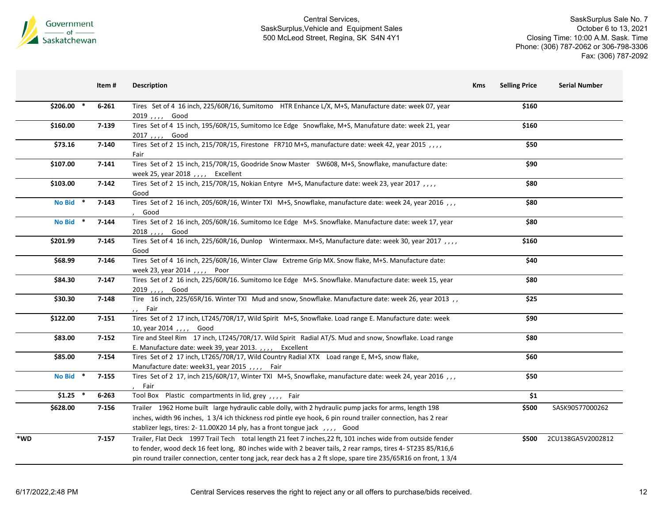

|     |               | Item #    | <b>Description</b>                                                                                                                                                                                                                                                                                                                               | <b>Kms</b> | <b>Selling Price</b> | <b>Serial Number</b> |
|-----|---------------|-----------|--------------------------------------------------------------------------------------------------------------------------------------------------------------------------------------------------------------------------------------------------------------------------------------------------------------------------------------------------|------------|----------------------|----------------------|
|     | $$206.00$ *   | $6 - 261$ | Tires Set of 4 16 inch, 225/60R/16, Sumitomo HTR Enhance L/X, M+S, Manufacture date: week 07, year<br>2019,,,, Good                                                                                                                                                                                                                              |            | \$160                |                      |
|     | \$160.00      | 7-139     | Tires Set of 4 15 inch, 195/60R/15, Sumitomo Ice Edge Snowflake, M+S, Manufature date: week 21, year<br>2017,,,, Good                                                                                                                                                                                                                            |            | \$160                |                      |
|     | \$73.16       | 7-140     | Tires Set of 2 15 inch, 215/70R/15, Firestone FR710 M+S, manufacture date: week 42, year 2015,,,,<br>Fair                                                                                                                                                                                                                                        |            | \$50                 |                      |
|     | \$107.00      | $7 - 141$ | Tires Set of 2 15 inch, 215/70R/15, Goodride Snow Master SW608, M+S, Snowflake, manufacture date:<br>week 25, year 2018, , , ,<br>Excellent                                                                                                                                                                                                      |            | \$90                 |                      |
|     | \$103.00      | $7 - 142$ | Tires Set of 2 15 inch, 215/70R/15, Nokian Entyre M+S, Manufacture date: week 23, year 2017,,,,<br>Good                                                                                                                                                                                                                                          |            | \$80                 |                      |
|     | <b>No Bid</b> | $7 - 143$ | Tires Set of 2 16 inch, 205/60R/16, Winter TXI M+S, Snowflake, manufacture date: week 24, year 2016,,,<br>Good                                                                                                                                                                                                                                   |            | \$80                 |                      |
|     | <b>No Bid</b> | $7 - 144$ | Tires Set of 2 16 inch, 205/60R/16. Sumitomo Ice Edge M+S. Snowflake. Manufacture date: week 17, year<br>2018, , , , Good                                                                                                                                                                                                                        |            | \$80                 |                      |
|     | \$201.99      | $7 - 145$ | Tires Set of 4 16 inch, 225/60R/16, Dunlop Wintermaxx. M+S, Manufacture date: week 30, year 2017,<br>Good                                                                                                                                                                                                                                        |            | \$160                |                      |
|     | \$68.99       | $7 - 146$ | Tires Set of 4 16 inch, 225/60R/16, Winter Claw Extreme Grip MX. Snow flake, M+S. Manufacture date:<br>week 23, year 2014,,,, Poor                                                                                                                                                                                                               |            | \$40                 |                      |
|     | \$84.30       | $7 - 147$ | Tires Set of 2 16 inch, 225/60R/16. Sumitomo Ice Edge M+S. Snowflake. Manufacture date: week 15, year<br>2019,,,, Good                                                                                                                                                                                                                           |            | \$80                 |                      |
|     | \$30.30       | 7-148     | Tire 16 inch, 225/65R/16. Winter TXI Mud and snow, Snowflake. Manufacture date: week 26, year 2013,<br>,, Fair                                                                                                                                                                                                                                   |            | \$25                 |                      |
|     | \$122.00      | $7 - 151$ | Tires Set of 2 17 inch, LT245/70R/17, Wild Spirit M+S, Snowflake. Load range E. Manufacture date: week<br>10, year 2014,,,,, Good                                                                                                                                                                                                                |            | \$90                 |                      |
|     | \$83.00       | $7 - 152$ | Tire and Steel Rim 17 inch, LT245/70R/17. Wild Spirit Radial AT/S. Mud and snow, Snowflake. Load range<br>E. Manufacture date: week 39, year 2013.,,,, Excellent                                                                                                                                                                                 |            | \$80                 |                      |
|     | \$85.00       | 7-154     | Tires Set of 2 17 inch, LT265/70R/17, Wild Country Radial XTX Load range E, M+S, snow flake,<br>Manufacture date: week31, year 2015,,,, Fair                                                                                                                                                                                                     |            | \$60                 |                      |
|     | <b>No Bid</b> | $7 - 155$ | Tires Set of 2 17, inch 215/60R/17, Winter TXI M+S, Snowflake, manufacture date: week 24, year 2016,,,<br>Fair                                                                                                                                                                                                                                   |            | \$50                 |                      |
|     | \$1.25        | $6 - 263$ | Tool Box Plastic compartments in lid, grey,,,, Fair                                                                                                                                                                                                                                                                                              |            | \$1                  |                      |
|     | \$628.00      | $7 - 156$ | Trailer 1962 Home built large hydraulic cable dolly, with 2 hydraulic pump jacks for arms, length 198<br>inches, width 96 inches, 1 3/4 ich thickness rod pintle eye hook, 6 pin round trailer connection, has 2 rear<br>stablizer legs, tires: 2-11.00X20 14 ply, has a front tongue jack, ,,,, Good                                            |            | \$500                | SASK90577000262      |
| *WD |               | $7 - 157$ | Trailer, Flat Deck 1997 Trail Tech total length 21 feet 7 inches, 22 ft, 101 inches wide from outside fender<br>to fender, wood deck 16 feet long, 80 inches wide with 2 beaver tails, 2 rear ramps, tires 4- ST235 85/R16,6<br>pin round trailer connection, center tong jack, rear deck has a 2 ft slope, spare tire 235/65R16 on front, 1 3/4 |            | \$500                | 2CU138GA5V2002812    |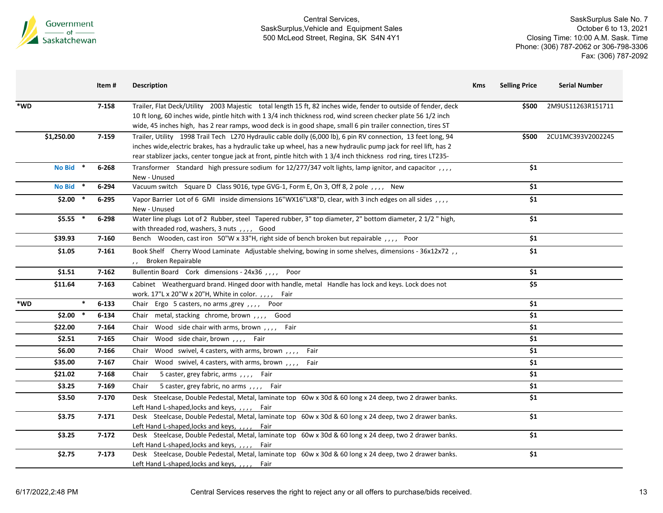

| *WD<br>7-158<br>Trailer, Flat Deck/Utility 2003 Majestic total length 15 ft, 82 inches wide, fender to outside of fender, deck<br>2M9US11263R151711<br>\$500<br>10 ft long, 60 inches wide, pintle hitch with 1 3/4 inch thickness rod, wind screen checker plate 56 1/2 inch<br>wide, 45 inches high, has 2 rear ramps, wood deck is in good shape, small 6 pin trailer connection, tires ST<br>\$1,250.00<br>7-159<br>2CU1MC393V2002245<br>Trailer, Utility 1998 Trail Tech L270 Hydraulic cable dolly (6,000 lb), 6 pin RV connection, 13 feet long, 94<br>\$500<br>inches wide, electric brakes, has a hydraulic take up wheel, has a new hydraulic pump jack for reel lift, has 2<br>rear stablizer jacks, center tongue jack at front, pintle hitch with 1 3/4 inch thickness rod ring, tires LT235-<br>\$1<br><b>No Bid</b><br>$6 - 268$<br>Transformer Standard high pressure sodium for 12/277/347 volt lights, lamp ignitor, and capacitor, ,,,<br>New - Unused<br>No Bid *<br>Vacuum switch Square D Class 9016, type GVG-1, Form E, On 3, Off 8, 2 pole, ,,,, New<br>\$1<br>6-294<br>\$1<br>$$2.00*$<br>Vapor Barrier Lot of 6 GMI inside dimensions 16"WX16"LX8"D, clear, with 3 inch edges on all sides , , , ,<br>$6 - 295$<br>New - Unused<br>\$1<br>$$5.55$ *<br>6-298<br>Water line plugs Lot of 2 Rubber, steel Tapered rubber, 3" top diameter, 2" bottom diameter, 2 1/2 " high,<br>with threaded rod, washers, 3 nuts,,,, Good<br>Bench Wooden, cast iron 50"W x 33"H, right side of bench broken but repairable, ,,,, Poor<br>\$1<br>\$39.93<br>7-160<br>Book Shelf Cherry Wood Laminate Adjustable shelving, bowing in some shelves, dimensions - 36x12x72,<br>\$1<br>\$1.05<br>$7 - 161$<br>,, Broken Repairable<br>Bullentin Board Cork dimensions - 24x36,,,, Poor<br>\$1<br>\$1.51<br>$7 - 162$<br>\$5<br>\$11.64<br>$7 - 163$<br>Cabinet Weatherguard brand. Hinged door with handle, metal Handle has lock and keys. Lock does not<br>work. 17"L x 20"W x 20"H, White in color. , , , , Fair<br>$\ast$<br>\$1<br>*WD<br>$6 - 133$<br>Chair Ergo 5 casters, no arms, grey, ,,,<br>Poor<br>\$1<br>$$2.00*$<br>6-134<br>Chair metal, stacking chrome, brown,,,, Good<br>\$1<br>$7 - 164$<br>\$22.00<br>Chair Wood side chair with arms, brown,,,, Fair<br>\$1<br>\$2.51<br>$7 - 165$<br>Chair Wood side chair, brown,,,, Fair<br>\$1<br>7-166<br>Chair Wood swivel, 4 casters, with arms, brown,,,,<br>\$6.00<br>Fair<br>\$1<br>\$35.00<br>$7 - 167$<br>Chair Wood swivel, 4 casters, with arms, brown,,,, Fair<br>\$1<br>7-168<br>\$21.02<br>5 caster, grey fabric, arms, ,,,,<br>Chair<br>Fair<br>\$1<br>\$3.25<br>7-169<br>5 caster, grey fabric, no arms, ,,,, Fair<br>Chair<br>\$1<br>7-170<br>Desk Steelcase, Double Pedestal, Metal, laminate top 60w x 30d & 60 long x 24 deep, two 2 drawer banks.<br>\$3.50<br>Left Hand L-shaped, locks and keys, ,,,, Fair<br>\$3.75<br>$7 - 171$<br>Desk Steelcase, Double Pedestal, Metal, laminate top 60w x 30d & 60 long x 24 deep, two 2 drawer banks.<br>\$1<br>Left Hand L-shaped, locks and keys, , , , , Fair<br>Desk Steelcase, Double Pedestal, Metal, laminate top 60w x 30d & 60 long x 24 deep, two 2 drawer banks.<br>\$1<br>\$3.25<br>$7 - 172$<br>Left Hand L-shaped, locks and keys, ,,,, Fair<br>\$2.75<br>Desk Steelcase, Double Pedestal, Metal, laminate top 60w x 30d & 60 long x 24 deep, two 2 drawer banks.<br>\$1<br>$7 - 173$<br>Left Hand L-shaped, locks and keys, ,,,, Fair | Item# | <b>Description</b> | <b>Kms</b> | <b>Selling Price</b> | <b>Serial Number</b> |
|------------------------------------------------------------------------------------------------------------------------------------------------------------------------------------------------------------------------------------------------------------------------------------------------------------------------------------------------------------------------------------------------------------------------------------------------------------------------------------------------------------------------------------------------------------------------------------------------------------------------------------------------------------------------------------------------------------------------------------------------------------------------------------------------------------------------------------------------------------------------------------------------------------------------------------------------------------------------------------------------------------------------------------------------------------------------------------------------------------------------------------------------------------------------------------------------------------------------------------------------------------------------------------------------------------------------------------------------------------------------------------------------------------------------------------------------------------------------------------------------------------------------------------------------------------------------------------------------------------------------------------------------------------------------------------------------------------------------------------------------------------------------------------------------------------------------------------------------------------------------------------------------------------------------------------------------------------------------------------------------------------------------------------------------------------------------------------------------------------------------------------------------------------------------------------------------------------------------------------------------------------------------------------------------------------------------------------------------------------------------------------------------------------------------------------------------------------------------------------------------------------------------------------------------------------------------------------------------------------------------------------------------------------------------------------------------------------------------------------------------------------------------------------------------------------------------------------------------------------------------------------------------------------------------------------------------------------------------------------------------------------------------------------------------------------------------------------------------------------------------------------------------------------------------------------------------------------------------------------------------------------------------------------------------------------------------------------------------------------------------------------------------------------------------------------------------------------------------------------|-------|--------------------|------------|----------------------|----------------------|
|                                                                                                                                                                                                                                                                                                                                                                                                                                                                                                                                                                                                                                                                                                                                                                                                                                                                                                                                                                                                                                                                                                                                                                                                                                                                                                                                                                                                                                                                                                                                                                                                                                                                                                                                                                                                                                                                                                                                                                                                                                                                                                                                                                                                                                                                                                                                                                                                                                                                                                                                                                                                                                                                                                                                                                                                                                                                                                                                                                                                                                                                                                                                                                                                                                                                                                                                                                                                                                                                                    |       |                    |            |                      |                      |
|                                                                                                                                                                                                                                                                                                                                                                                                                                                                                                                                                                                                                                                                                                                                                                                                                                                                                                                                                                                                                                                                                                                                                                                                                                                                                                                                                                                                                                                                                                                                                                                                                                                                                                                                                                                                                                                                                                                                                                                                                                                                                                                                                                                                                                                                                                                                                                                                                                                                                                                                                                                                                                                                                                                                                                                                                                                                                                                                                                                                                                                                                                                                                                                                                                                                                                                                                                                                                                                                                    |       |                    |            |                      |                      |
|                                                                                                                                                                                                                                                                                                                                                                                                                                                                                                                                                                                                                                                                                                                                                                                                                                                                                                                                                                                                                                                                                                                                                                                                                                                                                                                                                                                                                                                                                                                                                                                                                                                                                                                                                                                                                                                                                                                                                                                                                                                                                                                                                                                                                                                                                                                                                                                                                                                                                                                                                                                                                                                                                                                                                                                                                                                                                                                                                                                                                                                                                                                                                                                                                                                                                                                                                                                                                                                                                    |       |                    |            |                      |                      |
|                                                                                                                                                                                                                                                                                                                                                                                                                                                                                                                                                                                                                                                                                                                                                                                                                                                                                                                                                                                                                                                                                                                                                                                                                                                                                                                                                                                                                                                                                                                                                                                                                                                                                                                                                                                                                                                                                                                                                                                                                                                                                                                                                                                                                                                                                                                                                                                                                                                                                                                                                                                                                                                                                                                                                                                                                                                                                                                                                                                                                                                                                                                                                                                                                                                                                                                                                                                                                                                                                    |       |                    |            |                      |                      |
|                                                                                                                                                                                                                                                                                                                                                                                                                                                                                                                                                                                                                                                                                                                                                                                                                                                                                                                                                                                                                                                                                                                                                                                                                                                                                                                                                                                                                                                                                                                                                                                                                                                                                                                                                                                                                                                                                                                                                                                                                                                                                                                                                                                                                                                                                                                                                                                                                                                                                                                                                                                                                                                                                                                                                                                                                                                                                                                                                                                                                                                                                                                                                                                                                                                                                                                                                                                                                                                                                    |       |                    |            |                      |                      |
|                                                                                                                                                                                                                                                                                                                                                                                                                                                                                                                                                                                                                                                                                                                                                                                                                                                                                                                                                                                                                                                                                                                                                                                                                                                                                                                                                                                                                                                                                                                                                                                                                                                                                                                                                                                                                                                                                                                                                                                                                                                                                                                                                                                                                                                                                                                                                                                                                                                                                                                                                                                                                                                                                                                                                                                                                                                                                                                                                                                                                                                                                                                                                                                                                                                                                                                                                                                                                                                                                    |       |                    |            |                      |                      |
|                                                                                                                                                                                                                                                                                                                                                                                                                                                                                                                                                                                                                                                                                                                                                                                                                                                                                                                                                                                                                                                                                                                                                                                                                                                                                                                                                                                                                                                                                                                                                                                                                                                                                                                                                                                                                                                                                                                                                                                                                                                                                                                                                                                                                                                                                                                                                                                                                                                                                                                                                                                                                                                                                                                                                                                                                                                                                                                                                                                                                                                                                                                                                                                                                                                                                                                                                                                                                                                                                    |       |                    |            |                      |                      |
|                                                                                                                                                                                                                                                                                                                                                                                                                                                                                                                                                                                                                                                                                                                                                                                                                                                                                                                                                                                                                                                                                                                                                                                                                                                                                                                                                                                                                                                                                                                                                                                                                                                                                                                                                                                                                                                                                                                                                                                                                                                                                                                                                                                                                                                                                                                                                                                                                                                                                                                                                                                                                                                                                                                                                                                                                                                                                                                                                                                                                                                                                                                                                                                                                                                                                                                                                                                                                                                                                    |       |                    |            |                      |                      |
|                                                                                                                                                                                                                                                                                                                                                                                                                                                                                                                                                                                                                                                                                                                                                                                                                                                                                                                                                                                                                                                                                                                                                                                                                                                                                                                                                                                                                                                                                                                                                                                                                                                                                                                                                                                                                                                                                                                                                                                                                                                                                                                                                                                                                                                                                                                                                                                                                                                                                                                                                                                                                                                                                                                                                                                                                                                                                                                                                                                                                                                                                                                                                                                                                                                                                                                                                                                                                                                                                    |       |                    |            |                      |                      |
|                                                                                                                                                                                                                                                                                                                                                                                                                                                                                                                                                                                                                                                                                                                                                                                                                                                                                                                                                                                                                                                                                                                                                                                                                                                                                                                                                                                                                                                                                                                                                                                                                                                                                                                                                                                                                                                                                                                                                                                                                                                                                                                                                                                                                                                                                                                                                                                                                                                                                                                                                                                                                                                                                                                                                                                                                                                                                                                                                                                                                                                                                                                                                                                                                                                                                                                                                                                                                                                                                    |       |                    |            |                      |                      |
|                                                                                                                                                                                                                                                                                                                                                                                                                                                                                                                                                                                                                                                                                                                                                                                                                                                                                                                                                                                                                                                                                                                                                                                                                                                                                                                                                                                                                                                                                                                                                                                                                                                                                                                                                                                                                                                                                                                                                                                                                                                                                                                                                                                                                                                                                                                                                                                                                                                                                                                                                                                                                                                                                                                                                                                                                                                                                                                                                                                                                                                                                                                                                                                                                                                                                                                                                                                                                                                                                    |       |                    |            |                      |                      |
|                                                                                                                                                                                                                                                                                                                                                                                                                                                                                                                                                                                                                                                                                                                                                                                                                                                                                                                                                                                                                                                                                                                                                                                                                                                                                                                                                                                                                                                                                                                                                                                                                                                                                                                                                                                                                                                                                                                                                                                                                                                                                                                                                                                                                                                                                                                                                                                                                                                                                                                                                                                                                                                                                                                                                                                                                                                                                                                                                                                                                                                                                                                                                                                                                                                                                                                                                                                                                                                                                    |       |                    |            |                      |                      |
|                                                                                                                                                                                                                                                                                                                                                                                                                                                                                                                                                                                                                                                                                                                                                                                                                                                                                                                                                                                                                                                                                                                                                                                                                                                                                                                                                                                                                                                                                                                                                                                                                                                                                                                                                                                                                                                                                                                                                                                                                                                                                                                                                                                                                                                                                                                                                                                                                                                                                                                                                                                                                                                                                                                                                                                                                                                                                                                                                                                                                                                                                                                                                                                                                                                                                                                                                                                                                                                                                    |       |                    |            |                      |                      |
|                                                                                                                                                                                                                                                                                                                                                                                                                                                                                                                                                                                                                                                                                                                                                                                                                                                                                                                                                                                                                                                                                                                                                                                                                                                                                                                                                                                                                                                                                                                                                                                                                                                                                                                                                                                                                                                                                                                                                                                                                                                                                                                                                                                                                                                                                                                                                                                                                                                                                                                                                                                                                                                                                                                                                                                                                                                                                                                                                                                                                                                                                                                                                                                                                                                                                                                                                                                                                                                                                    |       |                    |            |                      |                      |
|                                                                                                                                                                                                                                                                                                                                                                                                                                                                                                                                                                                                                                                                                                                                                                                                                                                                                                                                                                                                                                                                                                                                                                                                                                                                                                                                                                                                                                                                                                                                                                                                                                                                                                                                                                                                                                                                                                                                                                                                                                                                                                                                                                                                                                                                                                                                                                                                                                                                                                                                                                                                                                                                                                                                                                                                                                                                                                                                                                                                                                                                                                                                                                                                                                                                                                                                                                                                                                                                                    |       |                    |            |                      |                      |
|                                                                                                                                                                                                                                                                                                                                                                                                                                                                                                                                                                                                                                                                                                                                                                                                                                                                                                                                                                                                                                                                                                                                                                                                                                                                                                                                                                                                                                                                                                                                                                                                                                                                                                                                                                                                                                                                                                                                                                                                                                                                                                                                                                                                                                                                                                                                                                                                                                                                                                                                                                                                                                                                                                                                                                                                                                                                                                                                                                                                                                                                                                                                                                                                                                                                                                                                                                                                                                                                                    |       |                    |            |                      |                      |
|                                                                                                                                                                                                                                                                                                                                                                                                                                                                                                                                                                                                                                                                                                                                                                                                                                                                                                                                                                                                                                                                                                                                                                                                                                                                                                                                                                                                                                                                                                                                                                                                                                                                                                                                                                                                                                                                                                                                                                                                                                                                                                                                                                                                                                                                                                                                                                                                                                                                                                                                                                                                                                                                                                                                                                                                                                                                                                                                                                                                                                                                                                                                                                                                                                                                                                                                                                                                                                                                                    |       |                    |            |                      |                      |
|                                                                                                                                                                                                                                                                                                                                                                                                                                                                                                                                                                                                                                                                                                                                                                                                                                                                                                                                                                                                                                                                                                                                                                                                                                                                                                                                                                                                                                                                                                                                                                                                                                                                                                                                                                                                                                                                                                                                                                                                                                                                                                                                                                                                                                                                                                                                                                                                                                                                                                                                                                                                                                                                                                                                                                                                                                                                                                                                                                                                                                                                                                                                                                                                                                                                                                                                                                                                                                                                                    |       |                    |            |                      |                      |
|                                                                                                                                                                                                                                                                                                                                                                                                                                                                                                                                                                                                                                                                                                                                                                                                                                                                                                                                                                                                                                                                                                                                                                                                                                                                                                                                                                                                                                                                                                                                                                                                                                                                                                                                                                                                                                                                                                                                                                                                                                                                                                                                                                                                                                                                                                                                                                                                                                                                                                                                                                                                                                                                                                                                                                                                                                                                                                                                                                                                                                                                                                                                                                                                                                                                                                                                                                                                                                                                                    |       |                    |            |                      |                      |
|                                                                                                                                                                                                                                                                                                                                                                                                                                                                                                                                                                                                                                                                                                                                                                                                                                                                                                                                                                                                                                                                                                                                                                                                                                                                                                                                                                                                                                                                                                                                                                                                                                                                                                                                                                                                                                                                                                                                                                                                                                                                                                                                                                                                                                                                                                                                                                                                                                                                                                                                                                                                                                                                                                                                                                                                                                                                                                                                                                                                                                                                                                                                                                                                                                                                                                                                                                                                                                                                                    |       |                    |            |                      |                      |
|                                                                                                                                                                                                                                                                                                                                                                                                                                                                                                                                                                                                                                                                                                                                                                                                                                                                                                                                                                                                                                                                                                                                                                                                                                                                                                                                                                                                                                                                                                                                                                                                                                                                                                                                                                                                                                                                                                                                                                                                                                                                                                                                                                                                                                                                                                                                                                                                                                                                                                                                                                                                                                                                                                                                                                                                                                                                                                                                                                                                                                                                                                                                                                                                                                                                                                                                                                                                                                                                                    |       |                    |            |                      |                      |
|                                                                                                                                                                                                                                                                                                                                                                                                                                                                                                                                                                                                                                                                                                                                                                                                                                                                                                                                                                                                                                                                                                                                                                                                                                                                                                                                                                                                                                                                                                                                                                                                                                                                                                                                                                                                                                                                                                                                                                                                                                                                                                                                                                                                                                                                                                                                                                                                                                                                                                                                                                                                                                                                                                                                                                                                                                                                                                                                                                                                                                                                                                                                                                                                                                                                                                                                                                                                                                                                                    |       |                    |            |                      |                      |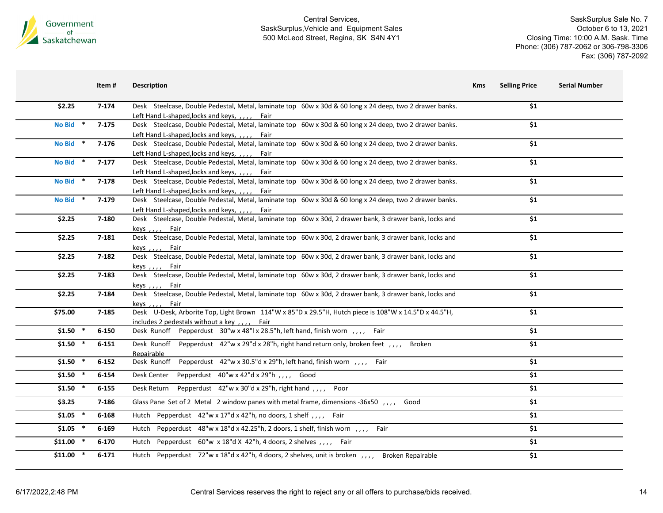

| \$1<br>$7 - 174$<br>Desk Steelcase, Double Pedestal, Metal, laminate top 60w x 30d & 60 long x 24 deep, two 2 drawer banks.<br>\$2.25<br>Left Hand L-shaped, locks and keys, ,,,, Fair<br>No Bid *<br>Desk Steelcase, Double Pedestal, Metal, laminate top 60w x 30d & 60 long x 24 deep, two 2 drawer banks.<br>\$1<br>$7-175$<br>Left Hand L-shaped, locks and keys, ,,,, Fair<br>Desk Steelcase, Double Pedestal, Metal, laminate top 60w x 30d & 60 long x 24 deep, two 2 drawer banks.<br>No Bid *<br>\$1<br>$7-176$<br>Left Hand L-shaped, locks and keys, , , , , Fair<br>\$1<br>No Bid *<br>Desk Steelcase, Double Pedestal, Metal, laminate top 60w x 30d & 60 long x 24 deep, two 2 drawer banks.<br>$7-177$<br>Left Hand L-shaped, locks and keys, ,,,, Fair<br>Desk Steelcase, Double Pedestal, Metal, laminate top 60w x 30d & 60 long x 24 deep, two 2 drawer banks.<br>No Bid *<br>\$1<br>$7-178$<br>Left Hand L-shaped, locks and keys, ,,,, Fair<br>Desk Steelcase, Double Pedestal, Metal, laminate top 60w x 30d & 60 long x 24 deep, two 2 drawer banks.<br>\$1<br>No Bid *<br>7-179<br>Left Hand L-shaped, locks and keys, ,,,, Fair<br>Desk Steelcase, Double Pedestal, Metal, laminate top 60w x 30d, 2 drawer bank, 3 drawer bank, locks and<br>\$1<br>\$2.25<br>7-180<br>keys , , , , Fair<br>Desk Steelcase, Double Pedestal, Metal, laminate top 60w x 30d, 2 drawer bank, 3 drawer bank, locks and<br>\$1<br>\$2.25<br>7-181<br>keys,,,, Fair<br>Desk Steelcase, Double Pedestal, Metal, laminate top 60w x 30d, 2 drawer bank, 3 drawer bank, locks and<br>\$1<br>\$2.25<br>$7 - 182$<br>keys,,,, Fair<br>\$1<br>\$2.25<br>$7 - 183$<br>Desk Steelcase, Double Pedestal, Metal, laminate top 60w x 30d, 2 drawer bank, 3 drawer bank, locks and<br>keys,,,, Fair<br>Desk Steelcase, Double Pedestal, Metal, laminate top 60w x 30d, 2 drawer bank, 3 drawer bank, locks and<br>\$1<br>\$2.25<br>7-184<br>keys , , , , Fair<br>Desk U-Desk, Arborite Top, Light Brown 114"W x 85"D x 29.5"H, Hutch piece is 108"W x 14.5"D x 44.5"H,<br>\$1<br>\$75.00<br>7-185<br>includes 2 pedestals without a key,,,, Fair<br>$$1.50$ *<br>Desk Runoff Pepperdust 30"w x 48"  x 28.5"h, left hand, finish worn ,,,, Fair<br>\$1<br>$6 - 150$<br>$$1.50$ *<br>\$1<br>Desk Runoff Pepperdust 42"w x 29"d x 28"h, right hand return only, broken feet, ,,,, Broken<br>$6 - 151$<br>Repairable<br>$$1.50$ *<br>Desk Runoff Pepperdust 42"w x 30.5"d x 29"h, left hand, finish worn, ,,,, Fair<br>\$1<br>$6 - 152$<br>\$1<br>$$1.50$ *<br>Desk Center Pepperdust 40"w x 42"d x 29"h,,,, Good<br>$6 - 154$<br>Desk Return Pepperdust 42"w x 30"d x 29"h, right hand,,,, Poor<br>\$1<br>$$1.50$ *<br>$6 - 155$<br>\$1<br>\$3.25<br>Glass Pane Set of 2 Metal 2 window panes with metal frame, dimensions -36x50 ,,,, Good<br>7-186<br>Hutch Pepperdust 42"w x 17"d x 42"h, no doors, 1 shelf, ,,,, Fair<br>\$1<br>$$1.05$ *<br>$6 - 168$<br>Hutch Pepperdust 48"w x 18"d x 42.25"h, 2 doors, 1 shelf, finish worn, ,,,, Fair<br>\$1<br>$$1.05$ *<br>$6 - 169$<br>\$1<br>$$11.00$ *<br>Hutch Pepperdust 60"w x 18"d X 42"h, 4 doors, 2 shelves, ,,,, Fair<br>$6 - 170$<br>$$11.00$ *<br>\$1<br>$6 - 171$<br>Hutch Pepperdust 72"w x 18"d x 42"h, 4 doors, 2 shelves, unit is broken, ,,,, Broken Repairable | Item # | <b>Description</b> | <b>Selling Price</b><br><b>Kms</b> | <b>Serial Number</b> |
|---------------------------------------------------------------------------------------------------------------------------------------------------------------------------------------------------------------------------------------------------------------------------------------------------------------------------------------------------------------------------------------------------------------------------------------------------------------------------------------------------------------------------------------------------------------------------------------------------------------------------------------------------------------------------------------------------------------------------------------------------------------------------------------------------------------------------------------------------------------------------------------------------------------------------------------------------------------------------------------------------------------------------------------------------------------------------------------------------------------------------------------------------------------------------------------------------------------------------------------------------------------------------------------------------------------------------------------------------------------------------------------------------------------------------------------------------------------------------------------------------------------------------------------------------------------------------------------------------------------------------------------------------------------------------------------------------------------------------------------------------------------------------------------------------------------------------------------------------------------------------------------------------------------------------------------------------------------------------------------------------------------------------------------------------------------------------------------------------------------------------------------------------------------------------------------------------------------------------------------------------------------------------------------------------------------------------------------------------------------------------------------------------------------------------------------------------------------------------------------------------------------------------------------------------------------------------------------------------------------------------------------------------------------------------------------------------------------------------------------------------------------------------------------------------------------------------------------------------------------------------------------------------------------------------------------------------------------------------------------------------------------------------------------------------------------------------------------------------------------------------------------------------------------------------------------------------------------------------------------------------------------------------------------------------------------------|--------|--------------------|------------------------------------|----------------------|
|                                                                                                                                                                                                                                                                                                                                                                                                                                                                                                                                                                                                                                                                                                                                                                                                                                                                                                                                                                                                                                                                                                                                                                                                                                                                                                                                                                                                                                                                                                                                                                                                                                                                                                                                                                                                                                                                                                                                                                                                                                                                                                                                                                                                                                                                                                                                                                                                                                                                                                                                                                                                                                                                                                                                                                                                                                                                                                                                                                                                                                                                                                                                                                                                                                                                                                                     |        |                    |                                    |                      |
|                                                                                                                                                                                                                                                                                                                                                                                                                                                                                                                                                                                                                                                                                                                                                                                                                                                                                                                                                                                                                                                                                                                                                                                                                                                                                                                                                                                                                                                                                                                                                                                                                                                                                                                                                                                                                                                                                                                                                                                                                                                                                                                                                                                                                                                                                                                                                                                                                                                                                                                                                                                                                                                                                                                                                                                                                                                                                                                                                                                                                                                                                                                                                                                                                                                                                                                     |        |                    |                                    |                      |
|                                                                                                                                                                                                                                                                                                                                                                                                                                                                                                                                                                                                                                                                                                                                                                                                                                                                                                                                                                                                                                                                                                                                                                                                                                                                                                                                                                                                                                                                                                                                                                                                                                                                                                                                                                                                                                                                                                                                                                                                                                                                                                                                                                                                                                                                                                                                                                                                                                                                                                                                                                                                                                                                                                                                                                                                                                                                                                                                                                                                                                                                                                                                                                                                                                                                                                                     |        |                    |                                    |                      |
|                                                                                                                                                                                                                                                                                                                                                                                                                                                                                                                                                                                                                                                                                                                                                                                                                                                                                                                                                                                                                                                                                                                                                                                                                                                                                                                                                                                                                                                                                                                                                                                                                                                                                                                                                                                                                                                                                                                                                                                                                                                                                                                                                                                                                                                                                                                                                                                                                                                                                                                                                                                                                                                                                                                                                                                                                                                                                                                                                                                                                                                                                                                                                                                                                                                                                                                     |        |                    |                                    |                      |
|                                                                                                                                                                                                                                                                                                                                                                                                                                                                                                                                                                                                                                                                                                                                                                                                                                                                                                                                                                                                                                                                                                                                                                                                                                                                                                                                                                                                                                                                                                                                                                                                                                                                                                                                                                                                                                                                                                                                                                                                                                                                                                                                                                                                                                                                                                                                                                                                                                                                                                                                                                                                                                                                                                                                                                                                                                                                                                                                                                                                                                                                                                                                                                                                                                                                                                                     |        |                    |                                    |                      |
|                                                                                                                                                                                                                                                                                                                                                                                                                                                                                                                                                                                                                                                                                                                                                                                                                                                                                                                                                                                                                                                                                                                                                                                                                                                                                                                                                                                                                                                                                                                                                                                                                                                                                                                                                                                                                                                                                                                                                                                                                                                                                                                                                                                                                                                                                                                                                                                                                                                                                                                                                                                                                                                                                                                                                                                                                                                                                                                                                                                                                                                                                                                                                                                                                                                                                                                     |        |                    |                                    |                      |
|                                                                                                                                                                                                                                                                                                                                                                                                                                                                                                                                                                                                                                                                                                                                                                                                                                                                                                                                                                                                                                                                                                                                                                                                                                                                                                                                                                                                                                                                                                                                                                                                                                                                                                                                                                                                                                                                                                                                                                                                                                                                                                                                                                                                                                                                                                                                                                                                                                                                                                                                                                                                                                                                                                                                                                                                                                                                                                                                                                                                                                                                                                                                                                                                                                                                                                                     |        |                    |                                    |                      |
|                                                                                                                                                                                                                                                                                                                                                                                                                                                                                                                                                                                                                                                                                                                                                                                                                                                                                                                                                                                                                                                                                                                                                                                                                                                                                                                                                                                                                                                                                                                                                                                                                                                                                                                                                                                                                                                                                                                                                                                                                                                                                                                                                                                                                                                                                                                                                                                                                                                                                                                                                                                                                                                                                                                                                                                                                                                                                                                                                                                                                                                                                                                                                                                                                                                                                                                     |        |                    |                                    |                      |
|                                                                                                                                                                                                                                                                                                                                                                                                                                                                                                                                                                                                                                                                                                                                                                                                                                                                                                                                                                                                                                                                                                                                                                                                                                                                                                                                                                                                                                                                                                                                                                                                                                                                                                                                                                                                                                                                                                                                                                                                                                                                                                                                                                                                                                                                                                                                                                                                                                                                                                                                                                                                                                                                                                                                                                                                                                                                                                                                                                                                                                                                                                                                                                                                                                                                                                                     |        |                    |                                    |                      |
|                                                                                                                                                                                                                                                                                                                                                                                                                                                                                                                                                                                                                                                                                                                                                                                                                                                                                                                                                                                                                                                                                                                                                                                                                                                                                                                                                                                                                                                                                                                                                                                                                                                                                                                                                                                                                                                                                                                                                                                                                                                                                                                                                                                                                                                                                                                                                                                                                                                                                                                                                                                                                                                                                                                                                                                                                                                                                                                                                                                                                                                                                                                                                                                                                                                                                                                     |        |                    |                                    |                      |
|                                                                                                                                                                                                                                                                                                                                                                                                                                                                                                                                                                                                                                                                                                                                                                                                                                                                                                                                                                                                                                                                                                                                                                                                                                                                                                                                                                                                                                                                                                                                                                                                                                                                                                                                                                                                                                                                                                                                                                                                                                                                                                                                                                                                                                                                                                                                                                                                                                                                                                                                                                                                                                                                                                                                                                                                                                                                                                                                                                                                                                                                                                                                                                                                                                                                                                                     |        |                    |                                    |                      |
|                                                                                                                                                                                                                                                                                                                                                                                                                                                                                                                                                                                                                                                                                                                                                                                                                                                                                                                                                                                                                                                                                                                                                                                                                                                                                                                                                                                                                                                                                                                                                                                                                                                                                                                                                                                                                                                                                                                                                                                                                                                                                                                                                                                                                                                                                                                                                                                                                                                                                                                                                                                                                                                                                                                                                                                                                                                                                                                                                                                                                                                                                                                                                                                                                                                                                                                     |        |                    |                                    |                      |
|                                                                                                                                                                                                                                                                                                                                                                                                                                                                                                                                                                                                                                                                                                                                                                                                                                                                                                                                                                                                                                                                                                                                                                                                                                                                                                                                                                                                                                                                                                                                                                                                                                                                                                                                                                                                                                                                                                                                                                                                                                                                                                                                                                                                                                                                                                                                                                                                                                                                                                                                                                                                                                                                                                                                                                                                                                                                                                                                                                                                                                                                                                                                                                                                                                                                                                                     |        |                    |                                    |                      |
|                                                                                                                                                                                                                                                                                                                                                                                                                                                                                                                                                                                                                                                                                                                                                                                                                                                                                                                                                                                                                                                                                                                                                                                                                                                                                                                                                                                                                                                                                                                                                                                                                                                                                                                                                                                                                                                                                                                                                                                                                                                                                                                                                                                                                                                                                                                                                                                                                                                                                                                                                                                                                                                                                                                                                                                                                                                                                                                                                                                                                                                                                                                                                                                                                                                                                                                     |        |                    |                                    |                      |
|                                                                                                                                                                                                                                                                                                                                                                                                                                                                                                                                                                                                                                                                                                                                                                                                                                                                                                                                                                                                                                                                                                                                                                                                                                                                                                                                                                                                                                                                                                                                                                                                                                                                                                                                                                                                                                                                                                                                                                                                                                                                                                                                                                                                                                                                                                                                                                                                                                                                                                                                                                                                                                                                                                                                                                                                                                                                                                                                                                                                                                                                                                                                                                                                                                                                                                                     |        |                    |                                    |                      |
|                                                                                                                                                                                                                                                                                                                                                                                                                                                                                                                                                                                                                                                                                                                                                                                                                                                                                                                                                                                                                                                                                                                                                                                                                                                                                                                                                                                                                                                                                                                                                                                                                                                                                                                                                                                                                                                                                                                                                                                                                                                                                                                                                                                                                                                                                                                                                                                                                                                                                                                                                                                                                                                                                                                                                                                                                                                                                                                                                                                                                                                                                                                                                                                                                                                                                                                     |        |                    |                                    |                      |
|                                                                                                                                                                                                                                                                                                                                                                                                                                                                                                                                                                                                                                                                                                                                                                                                                                                                                                                                                                                                                                                                                                                                                                                                                                                                                                                                                                                                                                                                                                                                                                                                                                                                                                                                                                                                                                                                                                                                                                                                                                                                                                                                                                                                                                                                                                                                                                                                                                                                                                                                                                                                                                                                                                                                                                                                                                                                                                                                                                                                                                                                                                                                                                                                                                                                                                                     |        |                    |                                    |                      |
|                                                                                                                                                                                                                                                                                                                                                                                                                                                                                                                                                                                                                                                                                                                                                                                                                                                                                                                                                                                                                                                                                                                                                                                                                                                                                                                                                                                                                                                                                                                                                                                                                                                                                                                                                                                                                                                                                                                                                                                                                                                                                                                                                                                                                                                                                                                                                                                                                                                                                                                                                                                                                                                                                                                                                                                                                                                                                                                                                                                                                                                                                                                                                                                                                                                                                                                     |        |                    |                                    |                      |
|                                                                                                                                                                                                                                                                                                                                                                                                                                                                                                                                                                                                                                                                                                                                                                                                                                                                                                                                                                                                                                                                                                                                                                                                                                                                                                                                                                                                                                                                                                                                                                                                                                                                                                                                                                                                                                                                                                                                                                                                                                                                                                                                                                                                                                                                                                                                                                                                                                                                                                                                                                                                                                                                                                                                                                                                                                                                                                                                                                                                                                                                                                                                                                                                                                                                                                                     |        |                    |                                    |                      |
|                                                                                                                                                                                                                                                                                                                                                                                                                                                                                                                                                                                                                                                                                                                                                                                                                                                                                                                                                                                                                                                                                                                                                                                                                                                                                                                                                                                                                                                                                                                                                                                                                                                                                                                                                                                                                                                                                                                                                                                                                                                                                                                                                                                                                                                                                                                                                                                                                                                                                                                                                                                                                                                                                                                                                                                                                                                                                                                                                                                                                                                                                                                                                                                                                                                                                                                     |        |                    |                                    |                      |
|                                                                                                                                                                                                                                                                                                                                                                                                                                                                                                                                                                                                                                                                                                                                                                                                                                                                                                                                                                                                                                                                                                                                                                                                                                                                                                                                                                                                                                                                                                                                                                                                                                                                                                                                                                                                                                                                                                                                                                                                                                                                                                                                                                                                                                                                                                                                                                                                                                                                                                                                                                                                                                                                                                                                                                                                                                                                                                                                                                                                                                                                                                                                                                                                                                                                                                                     |        |                    |                                    |                      |
|                                                                                                                                                                                                                                                                                                                                                                                                                                                                                                                                                                                                                                                                                                                                                                                                                                                                                                                                                                                                                                                                                                                                                                                                                                                                                                                                                                                                                                                                                                                                                                                                                                                                                                                                                                                                                                                                                                                                                                                                                                                                                                                                                                                                                                                                                                                                                                                                                                                                                                                                                                                                                                                                                                                                                                                                                                                                                                                                                                                                                                                                                                                                                                                                                                                                                                                     |        |                    |                                    |                      |
|                                                                                                                                                                                                                                                                                                                                                                                                                                                                                                                                                                                                                                                                                                                                                                                                                                                                                                                                                                                                                                                                                                                                                                                                                                                                                                                                                                                                                                                                                                                                                                                                                                                                                                                                                                                                                                                                                                                                                                                                                                                                                                                                                                                                                                                                                                                                                                                                                                                                                                                                                                                                                                                                                                                                                                                                                                                                                                                                                                                                                                                                                                                                                                                                                                                                                                                     |        |                    |                                    |                      |
|                                                                                                                                                                                                                                                                                                                                                                                                                                                                                                                                                                                                                                                                                                                                                                                                                                                                                                                                                                                                                                                                                                                                                                                                                                                                                                                                                                                                                                                                                                                                                                                                                                                                                                                                                                                                                                                                                                                                                                                                                                                                                                                                                                                                                                                                                                                                                                                                                                                                                                                                                                                                                                                                                                                                                                                                                                                                                                                                                                                                                                                                                                                                                                                                                                                                                                                     |        |                    |                                    |                      |
|                                                                                                                                                                                                                                                                                                                                                                                                                                                                                                                                                                                                                                                                                                                                                                                                                                                                                                                                                                                                                                                                                                                                                                                                                                                                                                                                                                                                                                                                                                                                                                                                                                                                                                                                                                                                                                                                                                                                                                                                                                                                                                                                                                                                                                                                                                                                                                                                                                                                                                                                                                                                                                                                                                                                                                                                                                                                                                                                                                                                                                                                                                                                                                                                                                                                                                                     |        |                    |                                    |                      |
|                                                                                                                                                                                                                                                                                                                                                                                                                                                                                                                                                                                                                                                                                                                                                                                                                                                                                                                                                                                                                                                                                                                                                                                                                                                                                                                                                                                                                                                                                                                                                                                                                                                                                                                                                                                                                                                                                                                                                                                                                                                                                                                                                                                                                                                                                                                                                                                                                                                                                                                                                                                                                                                                                                                                                                                                                                                                                                                                                                                                                                                                                                                                                                                                                                                                                                                     |        |                    |                                    |                      |
|                                                                                                                                                                                                                                                                                                                                                                                                                                                                                                                                                                                                                                                                                                                                                                                                                                                                                                                                                                                                                                                                                                                                                                                                                                                                                                                                                                                                                                                                                                                                                                                                                                                                                                                                                                                                                                                                                                                                                                                                                                                                                                                                                                                                                                                                                                                                                                                                                                                                                                                                                                                                                                                                                                                                                                                                                                                                                                                                                                                                                                                                                                                                                                                                                                                                                                                     |        |                    |                                    |                      |
|                                                                                                                                                                                                                                                                                                                                                                                                                                                                                                                                                                                                                                                                                                                                                                                                                                                                                                                                                                                                                                                                                                                                                                                                                                                                                                                                                                                                                                                                                                                                                                                                                                                                                                                                                                                                                                                                                                                                                                                                                                                                                                                                                                                                                                                                                                                                                                                                                                                                                                                                                                                                                                                                                                                                                                                                                                                                                                                                                                                                                                                                                                                                                                                                                                                                                                                     |        |                    |                                    |                      |
|                                                                                                                                                                                                                                                                                                                                                                                                                                                                                                                                                                                                                                                                                                                                                                                                                                                                                                                                                                                                                                                                                                                                                                                                                                                                                                                                                                                                                                                                                                                                                                                                                                                                                                                                                                                                                                                                                                                                                                                                                                                                                                                                                                                                                                                                                                                                                                                                                                                                                                                                                                                                                                                                                                                                                                                                                                                                                                                                                                                                                                                                                                                                                                                                                                                                                                                     |        |                    |                                    |                      |
|                                                                                                                                                                                                                                                                                                                                                                                                                                                                                                                                                                                                                                                                                                                                                                                                                                                                                                                                                                                                                                                                                                                                                                                                                                                                                                                                                                                                                                                                                                                                                                                                                                                                                                                                                                                                                                                                                                                                                                                                                                                                                                                                                                                                                                                                                                                                                                                                                                                                                                                                                                                                                                                                                                                                                                                                                                                                                                                                                                                                                                                                                                                                                                                                                                                                                                                     |        |                    |                                    |                      |
|                                                                                                                                                                                                                                                                                                                                                                                                                                                                                                                                                                                                                                                                                                                                                                                                                                                                                                                                                                                                                                                                                                                                                                                                                                                                                                                                                                                                                                                                                                                                                                                                                                                                                                                                                                                                                                                                                                                                                                                                                                                                                                                                                                                                                                                                                                                                                                                                                                                                                                                                                                                                                                                                                                                                                                                                                                                                                                                                                                                                                                                                                                                                                                                                                                                                                                                     |        |                    |                                    |                      |
|                                                                                                                                                                                                                                                                                                                                                                                                                                                                                                                                                                                                                                                                                                                                                                                                                                                                                                                                                                                                                                                                                                                                                                                                                                                                                                                                                                                                                                                                                                                                                                                                                                                                                                                                                                                                                                                                                                                                                                                                                                                                                                                                                                                                                                                                                                                                                                                                                                                                                                                                                                                                                                                                                                                                                                                                                                                                                                                                                                                                                                                                                                                                                                                                                                                                                                                     |        |                    |                                    |                      |
|                                                                                                                                                                                                                                                                                                                                                                                                                                                                                                                                                                                                                                                                                                                                                                                                                                                                                                                                                                                                                                                                                                                                                                                                                                                                                                                                                                                                                                                                                                                                                                                                                                                                                                                                                                                                                                                                                                                                                                                                                                                                                                                                                                                                                                                                                                                                                                                                                                                                                                                                                                                                                                                                                                                                                                                                                                                                                                                                                                                                                                                                                                                                                                                                                                                                                                                     |        |                    |                                    |                      |
|                                                                                                                                                                                                                                                                                                                                                                                                                                                                                                                                                                                                                                                                                                                                                                                                                                                                                                                                                                                                                                                                                                                                                                                                                                                                                                                                                                                                                                                                                                                                                                                                                                                                                                                                                                                                                                                                                                                                                                                                                                                                                                                                                                                                                                                                                                                                                                                                                                                                                                                                                                                                                                                                                                                                                                                                                                                                                                                                                                                                                                                                                                                                                                                                                                                                                                                     |        |                    |                                    |                      |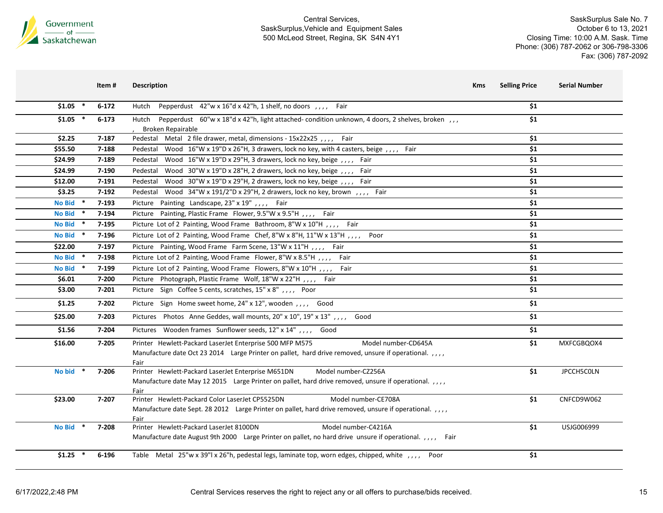

|               | Item#     | <b>Description</b>                                                                                                          | Kms | <b>Selling Price</b> | <b>Serial Number</b> |
|---------------|-----------|-----------------------------------------------------------------------------------------------------------------------------|-----|----------------------|----------------------|
| $$1.05$ *     | $6 - 172$ | Hutch Pepperdust 42"w x 16"d x 42"h, 1 shelf, no doors , , , , Fair                                                         |     | \$1                  |                      |
| $$1.05$ *     | $6 - 173$ | Pepperdust 60"w x 18"d x 42"h, light attached- condition unknown, 4 doors, 2 shelves, broken,<br>Hutch<br>Broken Repairable |     | \$1                  |                      |
| \$2.25        | 7-187     | Metal 2 file drawer, metal, dimensions - 15x22x25,,,, Fair<br>Pedestal                                                      |     | \$1                  |                      |
| \$55.50       | 7-188     | Wood 16"W x 19"D x 26"H, 3 drawers, lock no key, with 4 casters, beige, ,,,, Fair<br>Pedestal                               |     | \$1                  |                      |
| \$24.99       | 7-189     | Pedestal<br>Wood 16"W x 19"D x 29"H, 3 drawers, lock no key, beige, ,,,, Fair                                               |     | \$1                  |                      |
| \$24.99       | 7-190     | Pedestal<br>Wood 30"W x 19"D x 28"H, 2 drawers, lock no key, beige, y, y, Fair                                              |     | \$1                  |                      |
| \$12.00       | 7-191     | Wood 30"W x 19"D x 29"H, 2 drawers, lock no key, beige, ,,,, Fair<br>Pedestal                                               |     | \$1                  |                      |
| \$3.25        | $7-192$   | Wood 34"W x 191/2"D x 29"H, 2 drawers, lock no key, brown, ,,,, Fair<br>Pedestal                                            |     | \$1                  |                      |
| <b>No Bid</b> | $7-193$   | Picture Painting Landscape, 23" x 19",,,, Fair                                                                              |     | \$1                  |                      |
| <b>No Bid</b> | 7-194     | Picture Painting, Plastic Frame Flower, 9.5"W x 9.5"H,,,, Fair                                                              |     | \$1                  |                      |
| <b>No Bid</b> | 7-195     | Picture Lot of 2 Painting, Wood Frame Bathroom, 8"W x 10"H,,,, Fair                                                         |     | \$1                  |                      |
| <b>No Bid</b> | 7-196     | Picture Lot of 2 Painting, Wood Frame Chef, 8"W x 8"H, 11"W x 13"H , , , , Poor                                             |     | $\overline{\$1}$     |                      |
| \$22.00       | 7-197     | Picture Painting, Wood Frame Farm Scene, 13"W x 11"H , , , , Fair                                                           |     | \$1                  |                      |
| <b>No Bid</b> | 7-198     | Picture Lot of 2 Painting, Wood Frame Flower, 8"W x 8.5"H,,,, Fair                                                          |     | \$1                  |                      |
| <b>No Bid</b> | 7-199     | Picture Lot of 2 Painting, Wood Frame Flowers, 8"W x 10"H , , , , Fair                                                      |     | \$1                  |                      |
| \$6.01        | 7-200     | Picture Photograph, Plastic Frame Wolf, 18"W x 22"H , , , , Fair                                                            |     | \$1                  |                      |
| \$3.00        | $7 - 201$ | Picture Sign Coffee 5 cents, scratches, 15" x 8", , , , Poor                                                                |     | \$1                  |                      |
| \$1.25        | 7-202     | Picture Sign Home sweet home, 24" x 12", wooden, ,,,, Good                                                                  |     | \$1                  |                      |
| \$25.00       | 7-203     | Pictures Photos Anne Geddes, wall mounts, 20" x 10", 19" x 13" , , , , Good                                                 |     | \$1                  |                      |
| \$1.56        | 7-204     | Pictures Wooden frames Sunflower seeds, 12" x 14",,,, Good                                                                  |     | \$1                  |                      |
| \$16.00       | $7 - 205$ | Printer Hewlett-Packard LaserJet Enterprise 500 MFP M575<br>Model number-CD645A                                             |     | \$1                  | MXFCGBQOX4           |
|               |           | Manufacture date Oct 23 2014 Large Printer on pallet, hard drive removed, unsure if operational.,,,,                        |     |                      |                      |
| <b>No bid</b> | 7-206     | Fair<br>Printer Hewlett-Packard LaserJet Enterprise M651DN<br>Model number-CZ256A                                           |     | \$1                  | JPCCH5COLN           |
|               |           | Manufacture date May 12 2015 Large Printer on pallet, hard drive removed, unsure if operational.,,,,                        |     |                      |                      |
|               |           | Fair                                                                                                                        |     |                      |                      |
| \$23.00       | 7-207     | Printer Hewlett-Packard Color LaserJet CP5525DN<br>Model number-CE708A                                                      |     | \$1                  | CNFCD9W062           |
|               |           | Manufacture date Sept. 28 2012 Large Printer on pallet, hard drive removed, unsure if operational.,,,,<br>Fair              |     |                      |                      |
| <b>No Bid</b> | 7-208     | Printer Hewlett-Packard LaserJet 8100DN<br>Model number-C4216A                                                              |     | \$1                  | USJG006999           |
|               |           | Manufacture date August 9th 2000 Large Printer on pallet, no hard drive unsure if operational.,,,, Fair                     |     |                      |                      |
| $$1.25$ *     | 6-196     | Table Metal 25"w x 39"l x 26"h, pedestal legs, laminate top, worn edges, chipped, white , , , , Poor                        |     | \$1                  |                      |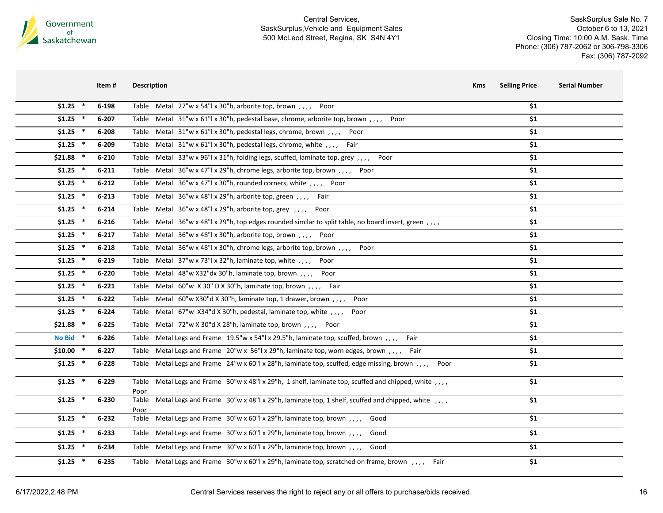

|            | Item #    | <b>Description</b>                                                                                               | <b>Selling Price</b><br>Kms | <b>Serial Number</b> |
|------------|-----------|------------------------------------------------------------------------------------------------------------------|-----------------------------|----------------------|
| $$1.25$ *  | 6-198     | Table Metal $27"w \times 54"l \times 30"h$ , arborite top, brown, ,,,<br>Poor                                    | \$1                         |                      |
| $$1.25$ *  | 6-207     | Table Metal 31"w x 61"l x 30"h, pedestal base, chrome, arborite top, brown,,,, Poor                              | \$1                         |                      |
| $$1.25$ *  | 6-208     | Table Metal 31"w x 61"l x 30"h, pedestal legs, chrome, brown, ,,,<br>Poor                                        | \$1                         |                      |
| $$1.25$ *  | 6-209     | Table Metal 31"w x 61"l x 30"h, pedestal legs, chrome, white,,,, Fair                                            | \$1                         |                      |
| $$21.88$ * | $6 - 210$ | Table Metal 33"w x 96"l x 31"h, folding legs, scuffed, laminate top, grey,,,,<br>Poor                            | \$1                         |                      |
| $$1.25$ *  | $6 - 211$ | Table Metal 36"w x 47"  x 29"h, chrome legs, arborite top, brown,,,, Poor                                        | \$1                         |                      |
| $$1.25$ *  | $6 - 212$ | Table Metal 36"w x 47"l x 30"h, rounded corners, white, ,,,, Poor                                                | \$1                         |                      |
| $$1.25$ *  | $6 - 213$ | Table Metal $36''w \times 48''l \times 29''h$ , arborite top, green, $l_1, l_2, \ldots$ Fair                     | \$1                         |                      |
| $$1.25$ *  | $6 - 214$ | Table Metal 36"w x 48"l x 29"h, arborite top, grey, ,,,, Poor                                                    | \$1                         |                      |
| $$1.25$ *  | $6 - 216$ | Table Metal 36"w x 48"l x 29"h, top edges rounded similar to split table, no board insert, green,,,,             | \$1                         |                      |
| $$1.25$ *  | $6 - 217$ | Table Metal 36"w x 48"l x 30"h, arborite top, brown,,,, Poor                                                     | \$1                         |                      |
| $$1.25$ *  | $6 - 218$ | Table Metal 36"w x 48"l x 30"h, chrome legs, arborite top, brown,,,, Poor                                        | \$1                         |                      |
| $$1.25$ *  | 6-219     | Table Metal 37"w x 73"l x 32"h, laminate top, white , , , , Poor                                                 | \$1                         |                      |
| $$1.25$ *  | $6 - 220$ | Table Metal 48"w X32"dx 30"h, laminate top, brown,,,, Poor                                                       | \$1                         |                      |
| $$1.25$ *  | $6 - 221$ | Table Metal $60''w$ X 30" D X 30"h, laminate top, brown, ,,, Fair                                                | \$1                         |                      |
| $$1.25$ *  | $6 - 222$ | Table Metal 60"w X30"d X 30"h, laminate top, 1 drawer, brown,,,,<br>Poor                                         | \$1                         |                      |
| $$1.25$ *  | 6-224     | Table Metal 67"w X34"d X 30"h, pedestal, laminate top, white , , , ,<br>Poor                                     | \$1                         |                      |
| $$21.88$ * | $6 - 225$ | Table Metal 72"w X 30"d X 28"h, laminate top, brown, ,,,, Poor                                                   | \$1                         |                      |
| No Bid *   | $6 - 226$ | Table Metal Legs and Frame 19.5"w x 54"l x 29.5"h, laminate top, scuffed, brown,,,, Fair                         | \$1                         |                      |
| $$10.00$ * | $6 - 227$ | Table Metal Legs and Frame 20"w x 56"l x 29"h, laminate top, worn edges, brown,,,, Fair                          | \$1                         |                      |
| $$1.25$ *  | 6-228     | Table Metal Legs and Frame 24"w x 60"l x 28"h, laminate top, scuffed, edge missing, brown,,,, Poor               | \$1                         |                      |
| $$1.25$ *  | $6 - 229$ | Table Metal Legs and Frame 30"w x 48"l x 29"h, 1 shelf, laminate top, scuffed and chipped, white , , , ,         | \$1                         |                      |
| $$1.25$ *  | 6-230     | Poor<br>Table Metal Legs and Frame 30"w x 48"l x 29"h, laminate top, 1 shelf, scuffed and chipped, white , , , , | \$1                         |                      |
|            |           | Poor                                                                                                             |                             |                      |
| $$1.25$ *  | $6 - 232$ | Table Metal Legs and Frame 30"w x 60"l x 29"h, laminate top, brown,,,,, Good                                     | \$1                         |                      |
| $$1.25$ *  | 6-233     | Table Metal Legs and Frame 30"w x 60"l x 29"h, laminate top, brown,,,,<br>Good                                   | \$1                         |                      |
| $$1.25$ *  | 6-234     | Table Metal Legs and Frame 30"w x 60"l x 29"h, laminate top, brown,,,,, Good                                     | \$1                         |                      |
| $$1.25$ *  | $6 - 235$ | Table Metal Legs and Frame 30"w x 60"l x 29"h, laminate top, scratched on frame, brown,,,, Fair                  | \$1                         |                      |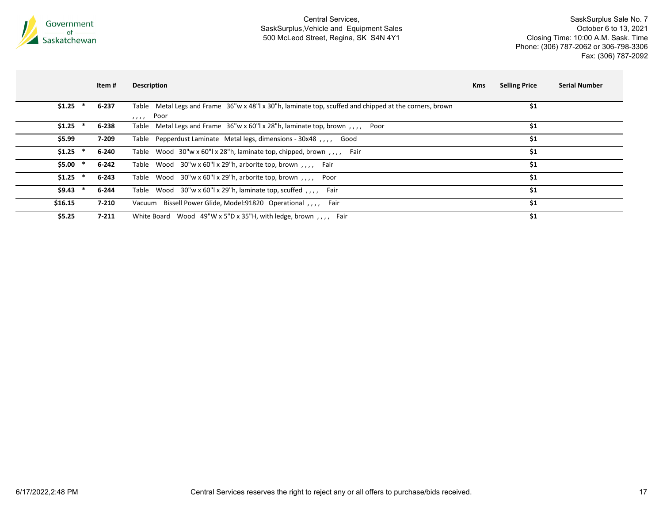

|           | Item #    | <b>Description</b>                                                                                                         | <b>Kms</b> | <b>Selling Price</b> | <b>Serial Number</b> |
|-----------|-----------|----------------------------------------------------------------------------------------------------------------------------|------------|----------------------|----------------------|
| $$1.25$ * | 6-237     | Table Metal Legs and Frame 36"w x 48"l x 30"h, laminate top, scuffed and chipped at the corners, brown<br>Poor<br>$\cdots$ |            | \$1                  |                      |
| \$1.25    | 6-238     | Table Metal Legs and Frame 36"w x 60"l x 28"h, laminate top, brown,,,, Poor                                                |            | \$1                  |                      |
| \$5.99    | 7-209     | Table Pepperdust Laminate Metal legs, dimensions - 30x48, ,,,, Good                                                        |            | \$1                  |                      |
| \$1.25    | 6-240     | Table Wood 30"w x 60"  x 28"h, laminate top, chipped, brown,,,, Fair                                                       |            | \$1                  |                      |
| \$5.00    | $6 - 242$ | Table Wood 30"w x 60"l x 29"h, arborite top, brown,,,, Fair                                                                |            | \$1                  |                      |
| $$1.25$ * | $6 - 243$ | Table Wood 30"w x 60"l x 29"h, arborite top, brown,,,, Poor                                                                |            | \$1                  |                      |
| \$9.43    | 6-244     | Table Wood 30"w x 60"l x 29"h, laminate top, scuffed, ,,,, Fair                                                            |            | \$1                  |                      |
| \$16.15   | $7 - 210$ | Vacuum Bissell Power Glide, Model: 91820 Operational<br>Fair                                                               |            | \$1                  |                      |
| \$5.25    | $7 - 211$ | White Board Wood 49"W x 5"D x 35"H, with ledge, brown,,,, Fair                                                             |            | \$1                  |                      |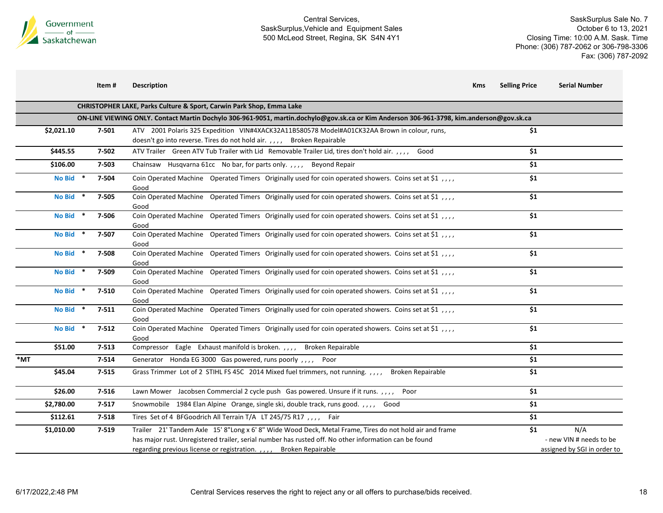

|  | ltem # | <b>Description</b> |
|--|--------|--------------------|
|--|--------|--------------------|

| m # | <b>Description</b> | Kms | <b>Selling Price</b> | Serial Number |
|-----|--------------------|-----|----------------------|---------------|
|     |                    |     |                      |               |
|     |                    |     |                      |               |

|                                      | <b>CHRISTOPHER LAKE, Parks Culture &amp; Sport, Carwin Park Shop, Emma Lake</b>                                                                                                                                                                                                       |                                                                      |
|--------------------------------------|---------------------------------------------------------------------------------------------------------------------------------------------------------------------------------------------------------------------------------------------------------------------------------------|----------------------------------------------------------------------|
|                                      | ON-LINE VIEWING ONLY. Contact Martin Dochylo 306-961-9051, martin.dochylo@gov.sk.ca or Kim Anderson 306-961-3798, kim.anderson@gov.sk.ca                                                                                                                                              |                                                                      |
| \$2,021.10<br>7-501                  | ATV 2001 Polaris 325 Expedition VIN#4XACK32A11B580578 Model#A01CK32AA Brown in colour, runs,                                                                                                                                                                                          | \$1                                                                  |
|                                      | doesn't go into reverse. Tires do not hold air. , , , , Broken Repairable                                                                                                                                                                                                             |                                                                      |
| \$445.55<br>7-502                    | ATV Trailer Green ATV Tub Trailer with Lid Removable Trailer Lid, tires don't hold air. , , , , Good                                                                                                                                                                                  | \$1                                                                  |
| \$106.00<br>7-503                    | Chainsaw Husqvarna 61cc No bar, for parts only.,,,,<br><b>Beyond Repair</b>                                                                                                                                                                                                           | \$1                                                                  |
| No Bid *<br>7-504                    | Coin Operated Machine Operated Timers Originally used for coin operated showers. Coins set at \$1,,,<br>Good                                                                                                                                                                          | \$1                                                                  |
| No Bid *<br>7-505                    | Coin Operated Machine Operated Timers Originally used for coin operated showers. Coins set at \$1,,,<br>Good                                                                                                                                                                          | \$1                                                                  |
| No Bid *<br>7-506                    | Coin Operated Machine Operated Timers Originally used for coin operated showers. Coins set at \$1,,,<br>Good                                                                                                                                                                          | \$1                                                                  |
| No Bid *<br>7-507                    | Coin Operated Machine Operated Timers Originally used for coin operated showers. Coins set at \$1,,,<br>Good                                                                                                                                                                          | \$1                                                                  |
| No Bid *<br>7-508                    | Coin Operated Machine Operated Timers Originally used for coin operated showers. Coins set at \$1,,,<br>Good                                                                                                                                                                          | \$1                                                                  |
| No Bid *<br>7-509                    | Coin Operated Machine Operated Timers Originally used for coin operated showers. Coins set at \$1,,,,<br>Good                                                                                                                                                                         | \$1                                                                  |
| No Bid *<br>7-510                    | Coin Operated Machine Operated Timers Originally used for coin operated showers. Coins set at \$1,,,<br>Good                                                                                                                                                                          | \$1                                                                  |
| <b>No Bid</b><br>$7 - 511$           | Coin Operated Machine Operated Timers Originally used for coin operated showers. Coins set at \$1,,,<br>Good                                                                                                                                                                          | \$1                                                                  |
| <b>No Bid</b><br>$7 - 512$<br>$\ast$ | Coin Operated Machine Operated Timers Originally used for coin operated showers. Coins set at \$1,,,<br>Good                                                                                                                                                                          | \$1                                                                  |
| $7 - 513$<br>\$51.00                 | Compressor Eagle Exhaust manifold is broken.,,,, Broken Repairable                                                                                                                                                                                                                    | \$1                                                                  |
| *MT<br>7-514                         | Generator Honda EG 3000 Gas powered, runs poorly,,,, Poor                                                                                                                                                                                                                             | \$1                                                                  |
| \$45.04<br>$7 - 515$                 | Grass Trimmer Lot of 2 STIHL FS 45C 2014 Mixed fuel trimmers, not running. , , , , Broken Repairable                                                                                                                                                                                  | \$1                                                                  |
| \$26.00<br>7-516                     | Lawn Mower Jacobsen Commercial 2 cycle push Gas powered. Unsure if it runs. , , , , Poor                                                                                                                                                                                              | \$1                                                                  |
| \$2,780.00<br>$7 - 517$              | Snowmobile 1984 Elan Alpine Orange, single ski, double track, runs good.,,,,, Good                                                                                                                                                                                                    | \$1                                                                  |
| \$112.61<br>7-518                    | Tires Set of 4 BFGoodrich All Terrain T/A LT 245/75 R17 , Fair                                                                                                                                                                                                                        | \$1                                                                  |
| \$1,010.00<br>7-519                  | Trailer 21' Tandem Axle 15' 8"Long x 6' 8" Wide Wood Deck, Metal Frame, Tires do not hold air and frame<br>has major rust. Unregistered trailer, serial number has rusted off. No other information can be found<br>regarding previous license or registration.,,,, Broken Repairable | N/A<br>\$1<br>- new VIN # needs to be<br>assigned by SGI in order to |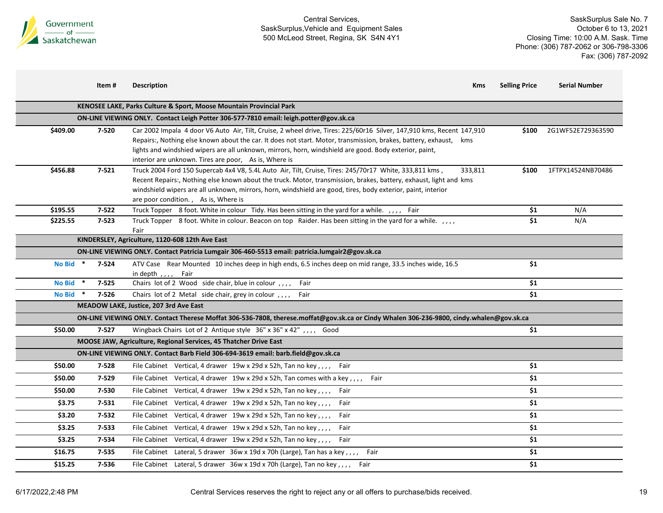

|            | Item#     | <b>Description</b>                                                                                                                                                                                                                                                                                                                                                                                            | <b>Kms</b> | <b>Selling Price</b> | <b>Serial Number</b> |
|------------|-----------|---------------------------------------------------------------------------------------------------------------------------------------------------------------------------------------------------------------------------------------------------------------------------------------------------------------------------------------------------------------------------------------------------------------|------------|----------------------|----------------------|
|            |           | KENOSEE LAKE, Parks Culture & Sport, Moose Mountain Provincial Park                                                                                                                                                                                                                                                                                                                                           |            |                      |                      |
|            |           | ON-LINE VIEWING ONLY. Contact Leigh Potter 306-577-7810 email: leigh.potter@gov.sk.ca                                                                                                                                                                                                                                                                                                                         |            |                      |                      |
| \$409.00   | 7-520     | Car 2002 Impala 4 door V6 Auto Air, Tilt, Cruise, 2 wheel drive, Tires: 225/60r16 Silver, 147,910 kms, Recent 147,910<br>Repairs:, Nothing else known about the car. It does not start. Motor, transmission, brakes, battery, exhaust, kms<br>lights and windshied wipers are all unknown, mirrors, horn, windshield are good. Body exterior, paint,<br>interior are unknown. Tires are poor, As is, Where is |            | \$100                | 2G1WF52E729363590    |
| \$456.88   | $7 - 521$ | Truck 2004 Ford 150 Supercab 4x4 V8, 5.4L Auto Air, Tilt, Cruise, Tires: 245/70r17 White, 333,811 kms,<br>Recent Repairs:, Nothing else known about the truck. Motor, transmission, brakes, battery, exhaust, light and kms<br>windshield wipers are all unknown, mirrors, horn, windshield are good, tires, body exterior, paint, interior<br>are poor condition., As is, Where is                           | 333,811    | \$100                | 1FTPX14524NB70486    |
| \$195.55   | $7 - 522$ | Truck Topper 8 foot. White in colour Tidy. Has been sitting in the yard for a while. ,,,, Fair                                                                                                                                                                                                                                                                                                                |            | \$1                  | N/A                  |
| \$225.55   | $7 - 523$ | Truck Topper 8 foot. White in colour. Beacon on top Raider. Has been sitting in the yard for a while. , , , ,<br>Fair                                                                                                                                                                                                                                                                                         |            | \$1                  | N/A                  |
|            |           | KINDERSLEY, Agriculture, 1120-608 12th Ave East                                                                                                                                                                                                                                                                                                                                                               |            |                      |                      |
|            |           | ON-LINE VIEWING ONLY. Contact Patricia Lumgair 306-460-5513 email: patricia.lumgair2@gov.sk.ca                                                                                                                                                                                                                                                                                                                |            |                      |                      |
| No Bid $*$ | 7-524     | ATV Case Rear Mounted 10 inches deep in high ends, 6.5 inches deep on mid range, 33.5 inches wide, 16.5<br>in depth,,,, Fair                                                                                                                                                                                                                                                                                  |            | \$1                  |                      |
| No Bid *   | $7 - 525$ | Chairs lot of 2 Wood side chair, blue in colour,,,, Fair                                                                                                                                                                                                                                                                                                                                                      |            | \$1                  |                      |
| No Bid *   | 7-526     | Chairs lot of 2 Metal side chair, grey in colour,,,,<br>Fair                                                                                                                                                                                                                                                                                                                                                  |            | \$1                  |                      |
|            |           | MEADOW LAKE, Justice, 207 3rd Ave East                                                                                                                                                                                                                                                                                                                                                                        |            |                      |                      |
|            |           | ON-LINE VIEWING ONLY. Contact Therese Moffat 306-536-7808, therese.moffat@gov.sk.ca or Cindy Whalen 306-236-9800, cindy.whalen@gov.sk.ca                                                                                                                                                                                                                                                                      |            |                      |                      |
| \$50.00    | $7 - 527$ | Wingback Chairs Lot of 2 Antique style 36" x 36" x 42" , , , , Good                                                                                                                                                                                                                                                                                                                                           |            | \$1                  |                      |
|            |           | MOOSE JAW, Agriculture, Regional Services, 45 Thatcher Drive East                                                                                                                                                                                                                                                                                                                                             |            |                      |                      |
|            |           | ON-LINE VIEWING ONLY. Contact Barb Field 306-694-3619 email: barb.field@gov.sk.ca                                                                                                                                                                                                                                                                                                                             |            |                      |                      |
| \$50.00    | 7-528     | File Cabinet Vertical, 4 drawer 19w x 29d x 52h, Tan no key,,,, Fair                                                                                                                                                                                                                                                                                                                                          |            | \$1                  |                      |
| \$50.00    | 7-529     | File Cabinet Vertical, 4 drawer 19w x 29d x 52h, Tan comes with a key,,,,<br>Fair                                                                                                                                                                                                                                                                                                                             |            | \$1                  |                      |
| \$50.00    | 7-530     | File Cabinet Vertical, 4 drawer 19w x 29d x 52h, Tan no key,,,, Fair                                                                                                                                                                                                                                                                                                                                          |            | \$1                  |                      |
| \$3.75     | 7-531     | File Cabinet Vertical, 4 drawer 19w x 29d x 52h, Tan no key,,,,<br>Fair                                                                                                                                                                                                                                                                                                                                       |            | \$1                  |                      |
| \$3.20     | 7-532     | File Cabinet Vertical, 4 drawer 19w x 29d x 52h, Tan no key,,,,<br>Fair                                                                                                                                                                                                                                                                                                                                       |            | \$1                  |                      |
| \$3.25     | 7-533     | File Cabinet Vertical, 4 drawer 19w x 29d x 52h, Tan no key,,,,<br>Fair                                                                                                                                                                                                                                                                                                                                       |            | \$1                  |                      |
| \$3.25     | 7-534     | File Cabinet Vertical, 4 drawer 19w x 29d x 52h, Tan no key,,,, Fair                                                                                                                                                                                                                                                                                                                                          |            | \$1                  |                      |
| \$16.75    | 7-535     | File Cabinet Lateral, 5 drawer 36w x 19d x 70h (Large), Tan has a key,,,, Fair                                                                                                                                                                                                                                                                                                                                |            | \$1                  |                      |
| \$15.25    | 7-536     | File Cabinet Lateral, 5 drawer 36w x 19d x 70h (Large), Tan no key,,,, Fair                                                                                                                                                                                                                                                                                                                                   |            | \$1                  |                      |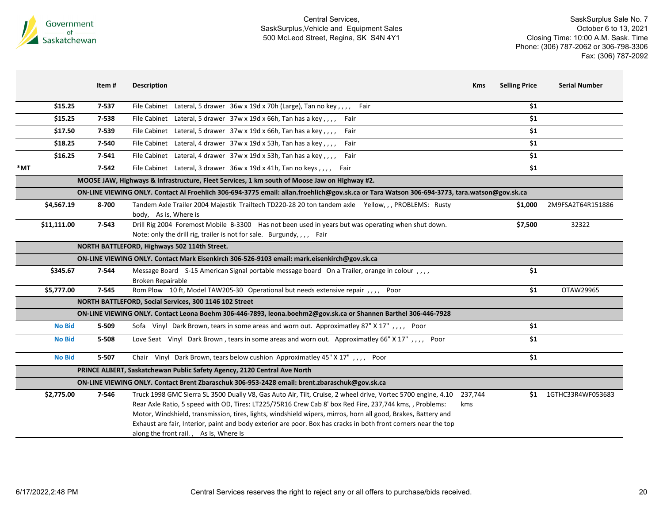

|     |               | Item#     | <b>Description</b>                                                                                                                                                                                                                                                                                                                                                                                                                                                                                    | <b>Selling Price</b><br>Kms | <b>Serial Number</b>  |
|-----|---------------|-----------|-------------------------------------------------------------------------------------------------------------------------------------------------------------------------------------------------------------------------------------------------------------------------------------------------------------------------------------------------------------------------------------------------------------------------------------------------------------------------------------------------------|-----------------------------|-----------------------|
|     | \$15.25       | 7-537     | File Cabinet Lateral, 5 drawer 36w x 19d x 70h (Large), Tan no key,,,, Fair                                                                                                                                                                                                                                                                                                                                                                                                                           | \$1                         |                       |
|     | \$15.25       | 7-538     | File Cabinet Lateral, 5 drawer 37w x 19d x 66h, Tan has a key,,,,<br>Fair                                                                                                                                                                                                                                                                                                                                                                                                                             | \$1                         |                       |
|     | \$17.50       | 7-539     | File Cabinet Lateral, 5 drawer 37w x 19d x 66h, Tan has a key,<br>Fair                                                                                                                                                                                                                                                                                                                                                                                                                                | \$1                         |                       |
|     | \$18.25       | 7-540     | File Cabinet Lateral, 4 drawer 37w x 19d x 53h, Tan has a key,,,,<br>Fair                                                                                                                                                                                                                                                                                                                                                                                                                             | \$1                         |                       |
|     | \$16.25       | $7 - 541$ | File Cabinet Lateral, 4 drawer 37w x 19d x 53h, Tan has a key,,,,<br>Fair                                                                                                                                                                                                                                                                                                                                                                                                                             | \$1                         |                       |
| *MT |               | $7 - 542$ | File Cabinet Lateral, 3 drawer 36w x 19d x 41h, Tan no keys,  Fair                                                                                                                                                                                                                                                                                                                                                                                                                                    | \$1                         |                       |
|     |               |           | MOOSE JAW, Highways & Infrastructure, Fleet Services, 1 km south of Moose Jaw on Highway #2.                                                                                                                                                                                                                                                                                                                                                                                                          |                             |                       |
|     |               |           | ON-LINE VIEWING ONLY. Contact Al Froehlich 306-694-3775 email: allan.froehlich@gov.sk.ca or Tara Watson 306-694-3773, tara.watson@gov.sk.ca                                                                                                                                                                                                                                                                                                                                                           |                             |                       |
|     | \$4,567.19    | 8-700     | Tandem Axle Trailer 2004 Majestik Trailtech TD220-28 20 ton tandem axle Yellow, , , PROBLEMS: Rusty<br>body, As is, Where is                                                                                                                                                                                                                                                                                                                                                                          | \$1,000                     | 2M9FSA2T64R151886     |
|     | \$11,111.00   | 7-543     | Drill Rig 2004 Foremost Mobile B-3300 Has not been used in years but was operating when shut down.<br>Note: only the drill rig, trailer is not for sale. Burgundy, , , , Fair                                                                                                                                                                                                                                                                                                                         | \$7,500                     | 32322                 |
|     |               |           | NORTH BATTLEFORD, Highways 502 114th Street.                                                                                                                                                                                                                                                                                                                                                                                                                                                          |                             |                       |
|     |               |           | ON-LINE VIEWING ONLY. Contact Mark Eisenkirch 306-526-9103 email: mark.eisenkirch@gov.sk.ca                                                                                                                                                                                                                                                                                                                                                                                                           |                             |                       |
|     | \$345.67      | 7-544     | Message Board S-15 American Signal portable message board On a Trailer, orange in colour,,,,<br><b>Broken Repairable</b>                                                                                                                                                                                                                                                                                                                                                                              | \$1                         |                       |
|     | \$5,777.00    | 7-545     | Rom Plow 10 ft, Model TAW205-30 Operational but needs extensive repair, ,,,, Poor                                                                                                                                                                                                                                                                                                                                                                                                                     | \$1                         | OTAW29965             |
|     |               |           | NORTH BATTLEFORD, Social Services, 300 1146 102 Street                                                                                                                                                                                                                                                                                                                                                                                                                                                |                             |                       |
|     |               |           | ON-LINE VIEWING ONLY. Contact Leona Boehm 306-446-7893, leona.boehm2@gov.sk.ca or Shannen Barthel 306-446-7928                                                                                                                                                                                                                                                                                                                                                                                        |                             |                       |
|     | <b>No Bid</b> | 5-509     | Sofa Vinyl Dark Brown, tears in some areas and worn out. Approximatley 87" X 17",,,, Poor                                                                                                                                                                                                                                                                                                                                                                                                             | \$1                         |                       |
|     | <b>No Bid</b> | 5-508     | Love Seat Vinyl Dark Brown, tears in some areas and worn out. Approximatley 66" X 17",,,, Poor                                                                                                                                                                                                                                                                                                                                                                                                        | \$1                         |                       |
|     | <b>No Bid</b> | 5-507     | Chair Vinyl Dark Brown, tears below cushion Approximatley 45" X 17",,,, Poor                                                                                                                                                                                                                                                                                                                                                                                                                          | \$1                         |                       |
|     |               |           | PRINCE ALBERT, Saskatchewan Public Safety Agency, 2120 Central Ave North                                                                                                                                                                                                                                                                                                                                                                                                                              |                             |                       |
|     |               |           | ON-LINE VIEWING ONLY. Contact Brent Zbaraschuk 306-953-2428 email: brent.zbaraschuk@gov.sk.ca                                                                                                                                                                                                                                                                                                                                                                                                         |                             |                       |
|     | \$2,775.00    | 7-546     | Truck 1998 GMC Sierra SL 3500 Dually V8, Gas Auto Air, Tilt, Cruise, 2 wheel drive, Vortec 5700 engine, 4.10<br>Rear Axle Ratio, 5 speed with OD, Tires: LT225/75R16 Crew Cab 8' box Red Fire, 237,744 kms, , Problems:<br>Motor, Windshield, transmission, tires, lights, windshield wipers, mirros, horn all good, Brakes, Battery and<br>Exhaust are fair, Interior, paint and body exterior are poor. Box has cracks in both front corners near the top<br>along the front rail., As Is, Where Is | 237,744<br>kms              | \$1 1GTHC33R4WF053683 |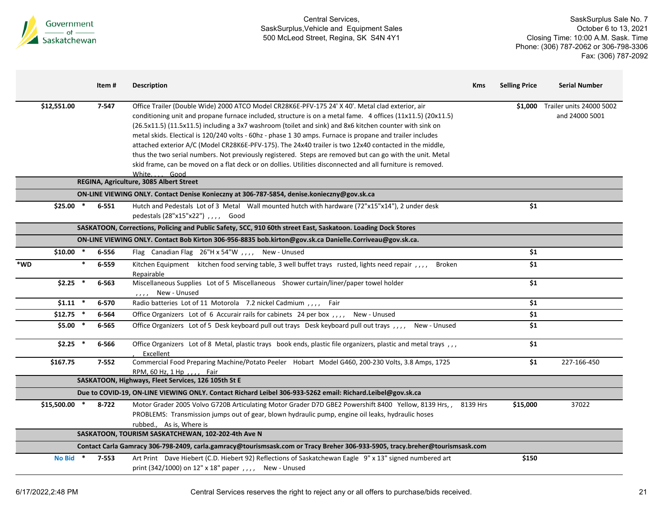

|                |        | Item#     | <b>Description</b>                                                                                                                                                                                                                                                                                                                                                                                                                                                                                                                                                                                                                                                                                                                                                                              | <b>Kms</b> | <b>Selling Price</b> | <b>Serial Number</b>                               |
|----------------|--------|-----------|-------------------------------------------------------------------------------------------------------------------------------------------------------------------------------------------------------------------------------------------------------------------------------------------------------------------------------------------------------------------------------------------------------------------------------------------------------------------------------------------------------------------------------------------------------------------------------------------------------------------------------------------------------------------------------------------------------------------------------------------------------------------------------------------------|------------|----------------------|----------------------------------------------------|
| \$12,551.00    |        | 7-547     | Office Trailer (Double Wide) 2000 ATCO Model CR28K6E-PFV-175 24' X 40'. Metal clad exterior, air<br>conditioning unit and propane furnace included, structure is on a metal fame. 4 offices (11x11.5) (20x11.5)<br>(26.5x11.5) (11.5x11.5) including a 3x7 washroom (toilet and sink) and 8x6 kitchen counter with sink on<br>metal skids. Electical is 120/240 volts - 60hz - phase 1 30 amps. Furnace is propane and trailer includes<br>attached exterior A/C (Model CR28K6E-PFV-175). The 24x40 trailer is two 12x40 contacted in the middle,<br>thus the two serial numbers. Not previously registered. Steps are removed but can go with the unit. Metal<br>skid frame, can be moved on a flat deck or on dollies. Utilities disconnected and all furniture is removed.<br>White.<br>Good |            |                      | \$1,000 Trailer units 24000 5002<br>and 24000 5001 |
|                |        |           | REGINA, Agriculture, 3085 Albert Street                                                                                                                                                                                                                                                                                                                                                                                                                                                                                                                                                                                                                                                                                                                                                         |            |                      |                                                    |
|                |        |           | ON-LINE VIEWING ONLY. Contact Denise Konieczny at 306-787-5854, denise.konieczny@gov.sk.ca                                                                                                                                                                                                                                                                                                                                                                                                                                                                                                                                                                                                                                                                                                      |            |                      |                                                    |
| $$25.00$ *     |        | $6 - 551$ | Hutch and Pedestals Lot of 3 Metal Wall mounted hutch with hardware (72"x15"x14"), 2 under desk<br>pedestals (28"x15"x22") , , , , Good                                                                                                                                                                                                                                                                                                                                                                                                                                                                                                                                                                                                                                                         |            | \$1                  |                                                    |
|                |        |           | SASKATOON, Corrections, Policing and Public Safety, SCC, 910 60th street East, Saskatoon. Loading Dock Stores                                                                                                                                                                                                                                                                                                                                                                                                                                                                                                                                                                                                                                                                                   |            |                      |                                                    |
|                |        |           | ON-LINE VIEWING ONLY. Contact Bob Kirton 306-956-8835 bob.kirton@gov.sk.ca Danielle.Corriveau@gov.sk.ca.                                                                                                                                                                                                                                                                                                                                                                                                                                                                                                                                                                                                                                                                                        |            |                      |                                                    |
| $$10.00$ *     |        | 6-556     | Flag Canadian Flag 26"H x 54"W,,,, New - Unused                                                                                                                                                                                                                                                                                                                                                                                                                                                                                                                                                                                                                                                                                                                                                 |            | \$1                  |                                                    |
| *WD            | $\ast$ | 6-559     | Kitchen Equipment kitchen food serving table, 3 well buffet trays rusted, lights need repair,,,,<br><b>Broken</b><br>Repairable                                                                                                                                                                                                                                                                                                                                                                                                                                                                                                                                                                                                                                                                 |            | \$1                  |                                                    |
| $$2.25$ *      |        | 6-563     | Miscellaneous Supplies Lot of 5 Miscellaneous Shower curtain/liner/paper towel holder<br>New - Unused<br>1.1.1.1                                                                                                                                                                                                                                                                                                                                                                                                                                                                                                                                                                                                                                                                                |            | \$1                  |                                                    |
| $$1.11$ *      |        | 6-570     | Radio batteries Lot of 11 Motorola 7.2 nickel Cadmium , , , , Fair                                                                                                                                                                                                                                                                                                                                                                                                                                                                                                                                                                                                                                                                                                                              |            | \$1                  |                                                    |
| $$12.75$ *     |        | 6-564     | Office Organizers Lot of 6 Accurair rails for cabinets 24 per box,,,,<br>New - Unused                                                                                                                                                                                                                                                                                                                                                                                                                                                                                                                                                                                                                                                                                                           |            | \$1                  |                                                    |
| $$5.00*$       |        | 6-565     | Office Organizers Lot of 5 Desk keyboard pull out trays Desk keyboard pull out trays , , , ,<br>New - Unused                                                                                                                                                                                                                                                                                                                                                                                                                                                                                                                                                                                                                                                                                    |            | \$1                  |                                                    |
| $$2.25$ *      |        | 6-566     | Office Organizers Lot of 8 Metal, plastic trays book ends, plastic file organizers, plastic and metal trays ,,,<br><b>Excellent</b>                                                                                                                                                                                                                                                                                                                                                                                                                                                                                                                                                                                                                                                             |            | \$1                  |                                                    |
| \$167.75       |        | $7 - 552$ | Commercial Food Preparing Machine/Potato Peeler Hobart Model G460, 200-230 Volts, 3.8 Amps, 1725<br>RPM, 60 Hz, 1 Hp, , , , Fair                                                                                                                                                                                                                                                                                                                                                                                                                                                                                                                                                                                                                                                                |            | \$1                  | 227-166-450                                        |
|                |        |           | SASKATOON, Highways, Fleet Services, 126 105th St E                                                                                                                                                                                                                                                                                                                                                                                                                                                                                                                                                                                                                                                                                                                                             |            |                      |                                                    |
|                |        |           | Due to COVID-19, ON-LINE VIEWING ONLY. Contact Richard Leibel 306-933-5262 email: Richard.Leibel@gov.sk.ca                                                                                                                                                                                                                                                                                                                                                                                                                                                                                                                                                                                                                                                                                      |            |                      |                                                    |
| $$15,500.00$ * |        | 8-722     | Motor Grader 2005 Volvo G720B Articulating Motor Grader D7D GBE2 Powershift 8400 Yellow, 8139 Hrs,,<br>PROBLEMS: Transmission jumps out of gear, blown hydraulic pump, engine oil leaks, hydraulic hoses<br>rubbed., As is, Where is                                                                                                                                                                                                                                                                                                                                                                                                                                                                                                                                                            | 8139 Hrs   | \$15,000             | 37022                                              |
|                |        |           | SASKATOON, TOURISM SASKATCHEWAN, 102-202-4th Ave N                                                                                                                                                                                                                                                                                                                                                                                                                                                                                                                                                                                                                                                                                                                                              |            |                      |                                                    |
|                |        |           | Contact Carla Gamracy 306-798-2409, carla.gamracy@tourismsask.com or Tracy Breher 306-933-5905, tracy.breher@tourismsask.com                                                                                                                                                                                                                                                                                                                                                                                                                                                                                                                                                                                                                                                                    |            |                      |                                                    |
| <b>No Bid</b>  |        | $7 - 553$ | Art Print Dave Hiebert (C.D. Hiebert 92) Reflections of Saskatchewan Eagle 9" x 13" signed numbered art<br>print (342/1000) on 12" x 18" paper,,,, New - Unused                                                                                                                                                                                                                                                                                                                                                                                                                                                                                                                                                                                                                                 |            | \$150                |                                                    |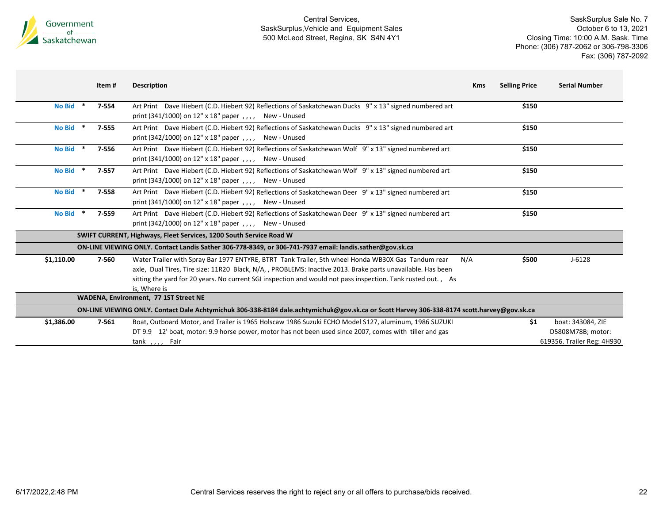

|                         | Item #    | <b>Description</b>                                                                                                                                                                                                                                                                                                                                | <b>Selling Price</b><br><b>Kms</b> | <b>Serial Number</b>                                                 |
|-------------------------|-----------|---------------------------------------------------------------------------------------------------------------------------------------------------------------------------------------------------------------------------------------------------------------------------------------------------------------------------------------------------|------------------------------------|----------------------------------------------------------------------|
| <b>No Bid</b><br>$\ast$ | $7 - 554$ | Art Print Dave Hiebert (C.D. Hiebert 92) Reflections of Saskatchewan Ducks 9" x 13" signed numbered art<br>print (341/1000) on 12" x 18" paper, $1, 1, 1$ New - Unused                                                                                                                                                                            | \$150                              |                                                                      |
| <b>No Bid</b>           | $7 - 555$ | Art Print Dave Hiebert (C.D. Hiebert 92) Reflections of Saskatchewan Ducks 9" x 13" signed numbered art<br>print (342/1000) on 12" x 18" paper, $1, 1, 1$<br>New - Unused                                                                                                                                                                         | \$150                              |                                                                      |
| No Bid *                | 7-556     | Art Print Dave Hiebert (C.D. Hiebert 92) Reflections of Saskatchewan Wolf 9" x 13" signed numbered art<br>print (341/1000) on 12" x 18" paper $, \, \cdot \,$ , $, \, \cdot$<br>New - Unused                                                                                                                                                      | \$150                              |                                                                      |
| <b>No Bid</b>           | $7 - 557$ | Art Print Dave Hiebert (C.D. Hiebert 92) Reflections of Saskatchewan Wolf 9" x 13" signed numbered art<br>print (343/1000) on 12" x 18" paper $, \, \cdot \,$ , $, \, \cdot$<br>New - Unused                                                                                                                                                      | \$150                              |                                                                      |
| <b>No Bid</b>           | 7-558     | Art Print Dave Hiebert (C.D. Hiebert 92) Reflections of Saskatchewan Deer 9" x 13" signed numbered art<br>print (341/1000) on 12" x 18" paper, $\mu$ , New - Unused                                                                                                                                                                               | \$150                              |                                                                      |
| <b>No Bid</b>           | 7-559     | Art Print Dave Hiebert (C.D. Hiebert 92) Reflections of Saskatchewan Deer 9" x 13" signed numbered art<br>print (342/1000) on 12" x 18" paper $, \, \cdot \,$ , $, \, \cdot$<br>New - Unused                                                                                                                                                      | \$150                              |                                                                      |
|                         |           | SWIFT CURRENT, Highways, Fleet Services, 1200 South Service Road W                                                                                                                                                                                                                                                                                |                                    |                                                                      |
|                         |           | ON-LINE VIEWING ONLY. Contact Landis Sather 306-778-8349, or 306-741-7937 email: landis.sather@gov.sk.ca                                                                                                                                                                                                                                          |                                    |                                                                      |
| \$1,110.00              | 7-560     | Water Trailer with Spray Bar 1977 ENTYRE, BTRT Tank Trailer, 5th wheel Honda WB30X Gas Tandum rear<br>axle, Dual Tires, Tire size: 11R20 Black, N/A, , PROBLEMS: Inactive 2013. Brake parts unavailable. Has been<br>sitting the yard for 20 years. No current SGI inspection and would not pass inspection. Tank rusted out., As<br>is, Where is | N/A<br>\$500                       | $J - 6128$                                                           |
|                         |           | WADENA, Environment, 77 1ST Street NE                                                                                                                                                                                                                                                                                                             |                                    |                                                                      |
|                         |           | ON-LINE VIEWING ONLY. Contact Dale Achtymichuk 306-338-8184 dale.achtymichuk@gov.sk.ca or Scott Harvey 306-338-8174 scott.harvey@gov.sk.ca                                                                                                                                                                                                        |                                    |                                                                      |
| \$1,386.00              | 7-561     | Boat, Outboard Motor, and Trailer is 1965 Holscaw 1986 Suzuki ECHO Model S127, aluminum, 1986 SUZUKI<br>DT 9.9 12' boat, motor: 9.9 horse power, motor has not been used since 2007, comes with tiller and gas<br>tank $, \, \,$ , Fair                                                                                                           | \$1                                | boat: 343084, ZIE<br>D5808M78B; motor:<br>619356. Trailer Reg: 4H930 |